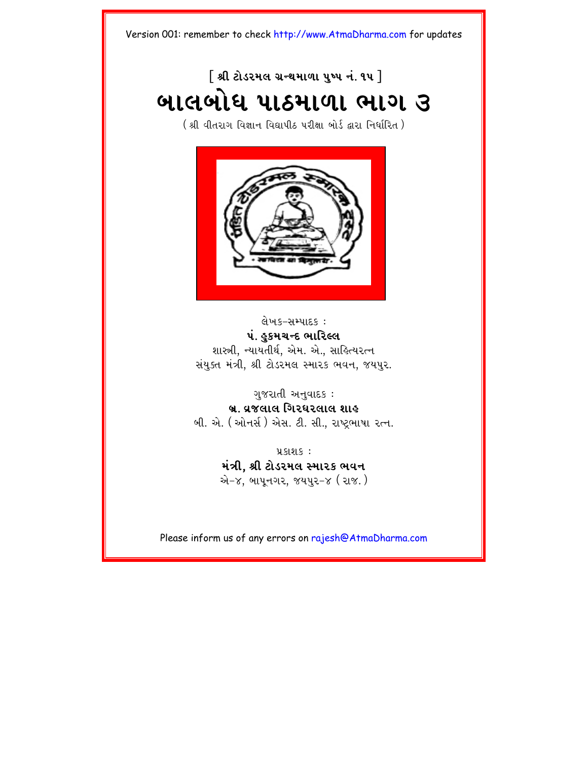## $\lceil$  શ્રી ટોડરમલ ગ્રન્થમાળા ૫ષ્પ નં. ૧૫  $\rceil$ <mark>બાલબોધ પાઠમાળા ભાગ</mark> ૩

 $($  શ્રી વીતરાગ વિજ્ઞાન વિદ્યાપીઠ પરીક્ષા બોર્ડ દ્વારા નિર્ધારિત)



લેખક–સમ્પાદક: પં. **હુકમચન્દ ભા**રિલ્લ શાસ્ત્રી, ન્યાયતીર્થ, એમ. એ., સાહિત્યરત્ન સંયુક્ત મંત્રી, શ્રી ટોડરમલ સ્મારક ભવન, જયપુર.

ગુજરાતી અનુવાદક:

**b/. v/jlal igr\rlal xah**

બી. એ. (ઓનર્સ) એસ. ટી. સી., રાષ્ટ્રભાષા રત્ન.

 $9.81.8 :$ મંત્રી, શ્રી ટોડરમલ સ્મારક **ભવન** એ $-$ ૪, બાપુનગર, જયપુર $-$ ૪ (રાજ.)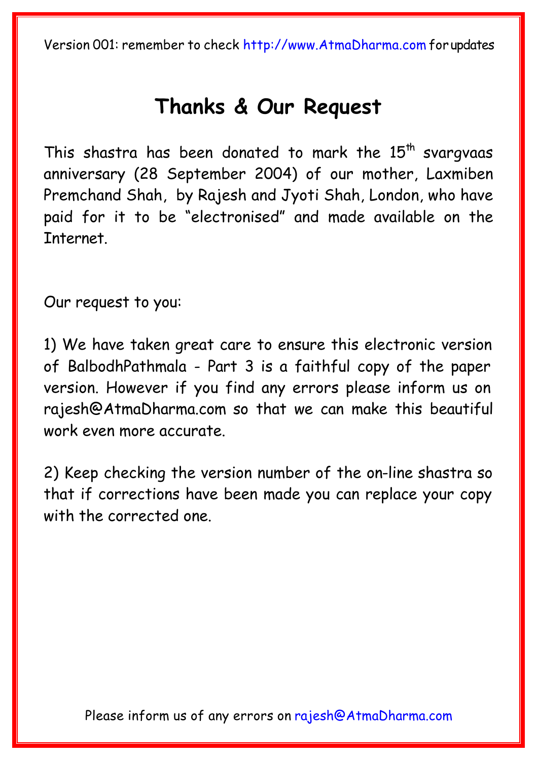#### **[Thanks & Our Reque](mailto:rajesh@AtmaDharma.com)st**

This shastra has been donated to mark the  $15<sup>th</sup>$  svargvaas anniversary (28 September 2004) of our mother, Laxmiben Premchand Shah, by Rajesh and Jyoti Shah, London, who have paid for it to be "electronised" and made available on the Internet.

Our request to you:

1) We have taken great care to ensure this electronic version of BalbodhPathmala - Part 3 is a faithful copy of the paper version. However if you find any errors please inform us on rajesh@AtmaDharma.com so that we can make this beautiful work even more accurate.

2) Keep checking the version number of the on-line shastra so that if corrections have been made you can replace your copy with the corrected one.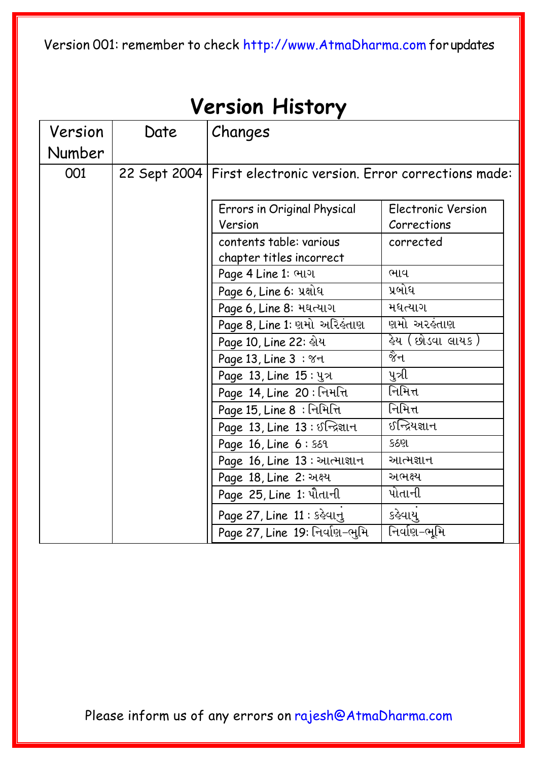| <b>Version History</b> |      |                                                                  |                           |  |  |
|------------------------|------|------------------------------------------------------------------|---------------------------|--|--|
| Version                | Date | Changes                                                          |                           |  |  |
| Number                 |      |                                                                  |                           |  |  |
| 001                    |      | 22 Sept 2004   First electronic version. Error corrections made: |                           |  |  |
|                        |      | Errors in Original Physical                                      | <b>Electronic Version</b> |  |  |
|                        |      | Version                                                          | Corrections               |  |  |
|                        |      | contents table: various                                          | corrected                 |  |  |
|                        |      | chapter titles incorrect                                         |                           |  |  |
|                        |      | Page 4 Line 1: ભાગ                                               | ભાવ                       |  |  |
|                        |      | <b>Page 6, Line 6: પ્રક્ષોધ</b>                                  | પ્રબોધ                    |  |  |
|                        |      | Page 6, Line 8: મઘત્યાગ                                          | મધત્યાગ                   |  |  |
|                        |      | Page 8, Line 1: ણમો અરિહંતાણ                                     | ણમો અરહંતાણ               |  |  |
|                        |      | Page 10, Line 22: હોય                                            | હેય ( છોડવા લાયક )        |  |  |
|                        |      | Page 13, Line 3: ४न                                              | ॐन                        |  |  |
|                        |      | Page 13, Line 15: 47                                             | પુત્રી                    |  |  |
|                        |      | Page 14, Line 20: निभत्ति                                        | નિમિત્ત                   |  |  |
|                        |      | Page 15, Line 8: નિમિત્તિ                                        | નિમિત્ત                   |  |  |
|                        |      | Page 13, Line 13: 8 ज्रिशान                                      | ઈન્દ્રિયજ્ઞાન             |  |  |
|                        |      | Page 16, Line 6: 569                                             | કઠણ                       |  |  |
|                        |      | Page 16, Line 13 : આત્માજ્ઞાન                                    | આત્મજ્ઞાન                 |  |  |
|                        |      | Page 18, Line 2: અક્ષ્ય                                          | અભક્ષ્ય                   |  |  |
|                        |      | Page 25, Line 1: પૌતાની                                          | પોતાની                    |  |  |
|                        |      | Page 27, Line 11: કહેવાનુ                                        | કહેવાયુ                   |  |  |
|                        |      | Page 27, Line 19: નિર્વાણ-ભૂમિ                                   | નિર્વાણ-ભૂમિ              |  |  |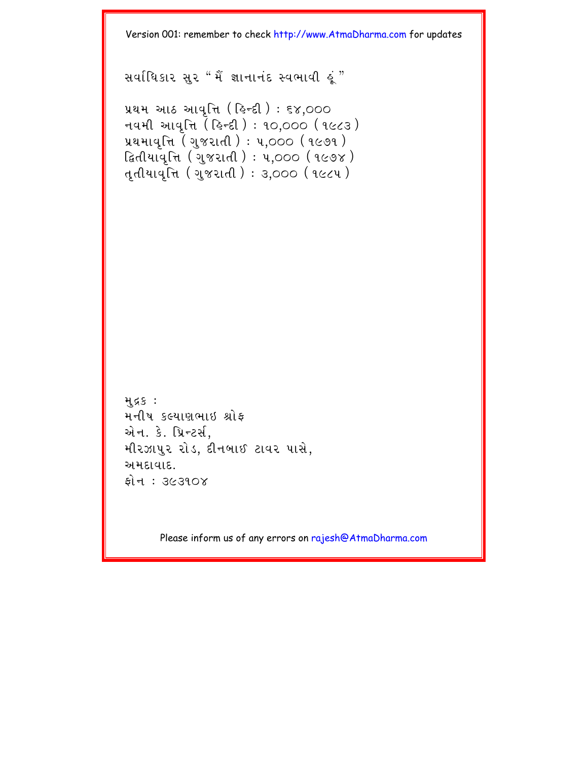$\mathcal{R}$ યર્વાધિકાર સૂર "મૈં જ્ઞાનાનંદ સ્વભાવી હું "

```
પ્રથમ આઠ આવૃત્તિ ( હિન્દી ) : ૬૪,૦૦૦
નવમી આવૃત્તિ (ં ફિન્દી ) : ૧૦,૦૦૦ ( ૧૯૮૩ )
પ્રથમાવૃત્તિ\overline{Q}( ગુજરાતી ) : ૫,૦૦૦ \overline{Q} ૧૯૭૧ )
ક્રિતીયાવૃત્તિ (ગુજરાતી ) : ૫,૦૦૦ (૧૯૭૪ )
તૃતીયાવૃત્તિ ( ગુજરાતી ) : ૩,૦૦૦ ( ૧૯૮૫ )
```

```
મs :મનીષ કલ્યાણભાઇ શ્રોફ
એન. કે. પ્રિન્ટર્સ.
મીરઝાપુર રોડ, દીનબાઈ ટાવર પાસે.
અમદાવાદ.
કોન : ૩૯૩૧૦૪
```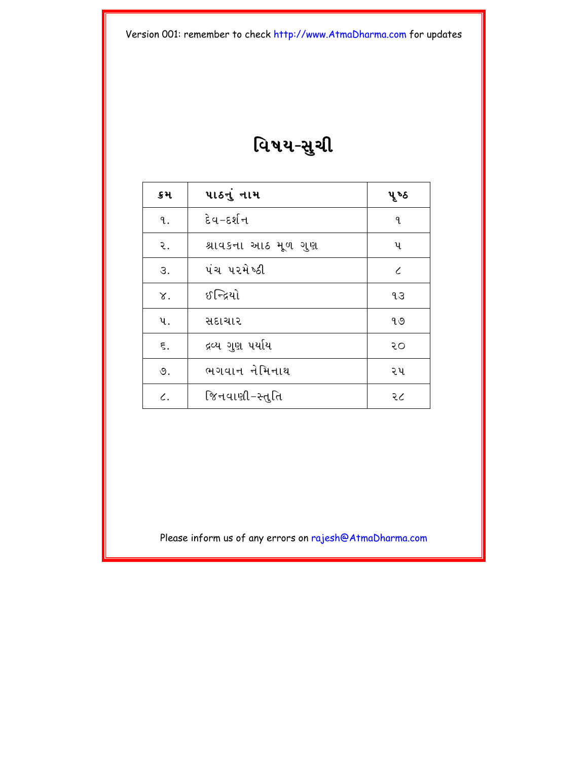## વિષય-સુચી

| ક્રમ            | પાઠનું નામ          | પૄ ષ્ઠ     |
|-----------------|---------------------|------------|
| ٩.              | દેવ−દર્શન           | 9.         |
| ર.              | શ્રાવકના આઠ મૂળ ગુણ | પ          |
| З.              | પંચ પરમેષ્ઠી        | $\epsilon$ |
| $\chi$ .        | ઈન્દ્રિયો           | LЗ         |
| પ.              | સદાચાર              | १७         |
| $\epsilon$ .    | દ્રવ્ય ગુણ પર્યાય   | २०         |
| ৩.              | ભગવાન નેમિનાથ       | ર પ        |
| $\mathcal{L}$ . | જિનવાણી−સ્તુતિ      | २८         |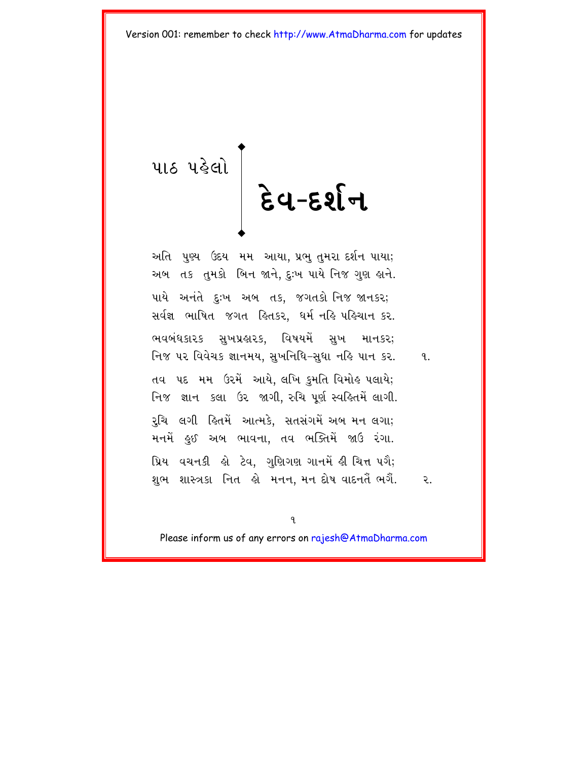<span id="page-5-0"></span>**415 4डेसो हैय-हर्शन** 

અતિ પુણ્ય ઉદય મમ આયા, પ્રભુ તમરા દર્શન પાયા; અબ તક તુમકો બિન જાને, દુઃખ પાયે નિજ ગુણ હાને. પાયે અનંતે દુઃખ અબ તક, જગતકો નિજુજાનકર; સર્વજ્ઞ ભાષિત જગત હિતકર. ધર્મ નહિ પહિચાન કર. ભવબંધકારક સખપ્રહારક, વિષયમેં સખ માનકર; નિજ પર વિવેચક જ્ઞાનમય. સખનિધિ-સધા નહિ પાન કર. વિ. તવ પદ મમ ઉરમેં આયે, લખિ કુમતિ વિમોહ પલાયે; નિજ જ્ઞાન કલા ઉર જાગી, રુચિ પૂર્ણ સ્વહિતમેં લાગી. રૂચિ લગી હિતમેં આત્મકે, સતસંગમેં અબ મન લગા; મનમેં ઙ્ઈ અબ ભાવના. તવ ભક્તિમેં જાઉ રંગા. પ્રિય વચનકી હો ટેવ, ગુણિગણ ગાનમેં હી ચિત્ત પગૈ; શુભ શાસ્ત્રકા નિત હો મનન, મન દોષ વાદનતૈં ભગૈં.

ર.

 $\mathbf{q}$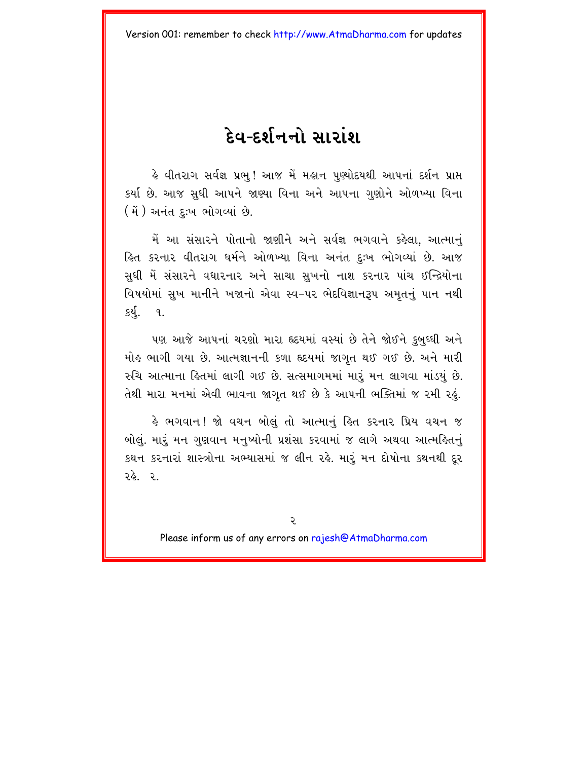### દેવ-દર્શનનો સારાંશ

હે વીતરાગ સર્વજ્ઞ પ્રભુ! આજ મેં મહાન પુણ્યોદયથી આપનાં દર્શન પ્રાપ્<mark>ત</mark> કર્યા છે. આજ સુધી આપને જાણ્યા વિના અને આપના ગુણોને ઓળખ્યા વિના ( મેં ) અનંત દુઃખ ભોગવ્યાં છે.

મેં આ સંસારને પોતાનો જાણીને અને સર્વજ્ઞ ભગવાને કહેલા, આત્માનું હિત કરનાર વીતરાગ ધર્મને ઓળખ્યા વિના અનંત દુઃખ ભોગવ્યાં છે. આજ સુધી મેં સંસારને વધારનાર અને સાચા સુખનો નાશ કરનાર પાંચ ઈન્દ્રિયોના વિષયોમાં સુખ માનીને ખજાનો એવા સ્વ–પર ભેદવિજ્ઞાનરૂપ અમૃતનું પાન નથી <u>કર્યુ. ૧.</u>

પણ આજે આપનાં ચરણો મારા હૃદયમાં વસ્યાં છે તેને જોઈને કુબુઘ્ઘી અને મોહ ભાગી ગયા છે. આત્મજ્ઞાનની કળા હૃદયમાં જાગૃત થઈ ગઈ છે. અને મારી રુચિ આત્માના હિતમાં લાગી ગઈ છે. સત્સમાગમમાં મારૂં મન લાગવા માંડયું છે. તેથી મારા મનમાં એવી ભાવના જાગૃત થઈ છે કે આપની ભક્તિમાં જ રમી રહું.

હે ભગવાન! જો વચન બોલું તો આત્માનું હિત કરનાર પ્રિય વચન જ બોલું. મારું મન ગુણવાન મનુષ્યોની પ્રશંસા કરવામાં જ લાગે અથવા આત્મહિતનું કથન કરનારાં શાસ્ત્રોના અભ્યાસમાં જ લીન રહે. મારં મન દોષોના કથનથી દર રહે. ર.

Ç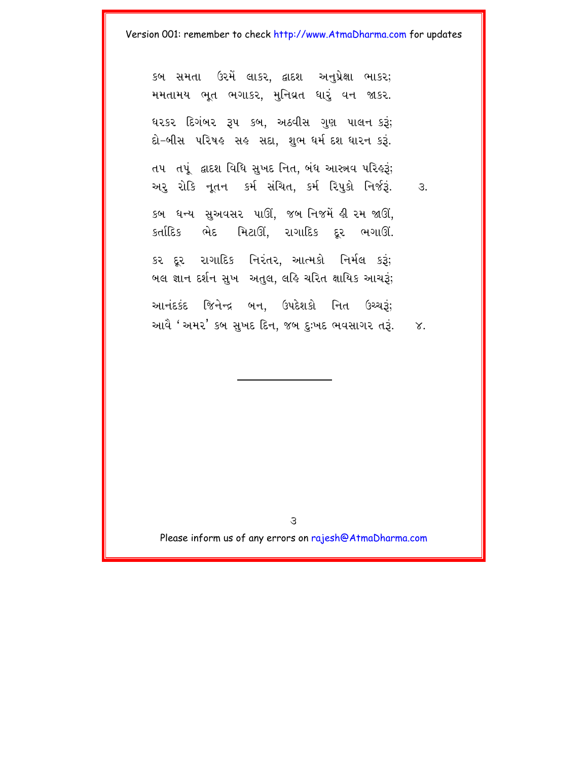કબ સમતા ઉરમેં લાકર, દ્વાદશ અનપ્રેક્ષા ભાકર; મમતામય ભૂત ભગાકર, મુનિવ્રત ધારૂં વન જાકર.  $\overline{a}$ રિંગંબર રૂપ કબ, અઠવીસ ગુણ પાલન કરૂં;  $\hat{\mathsf a}$ –બીસ પરિષહ સહ સદા, શભ ધર્મ દશ ધારન કરૂં.  $t$ ાપ તપું દ્વાદશ વિધિ સુખદ નિત, બંધ આસ્ત્રવ પરિલ્ર; અર રોકિ નતન કર્મ સંચિત, કર્મ રિપકો નિર્જરૂં. ૩. કબ ધન્ય સુઅવસર પાઊં, જબ નિજમેં હી રમ જાઊં,  $s$ તાંદિક ભેદ મિટાઊં, રાગાદિક દૂર ભગાઊં. કર દર રાગાદિક નિરંતર, આત્મકો નિર્મલ કરૂં; બલ જ્ઞાન દર્શન સખ અતલ, લહિ ચરિત ક્ષાયિક આચરૂં; આનંદકંદ જિનેન્દ્ર બન, ઉપદેશકો નિત ઉચ્ચરૂં; આવે 'અમર' કબ સખદ દિન. જબ દઃખદ ભવસાગર તરૂં. . . ૪.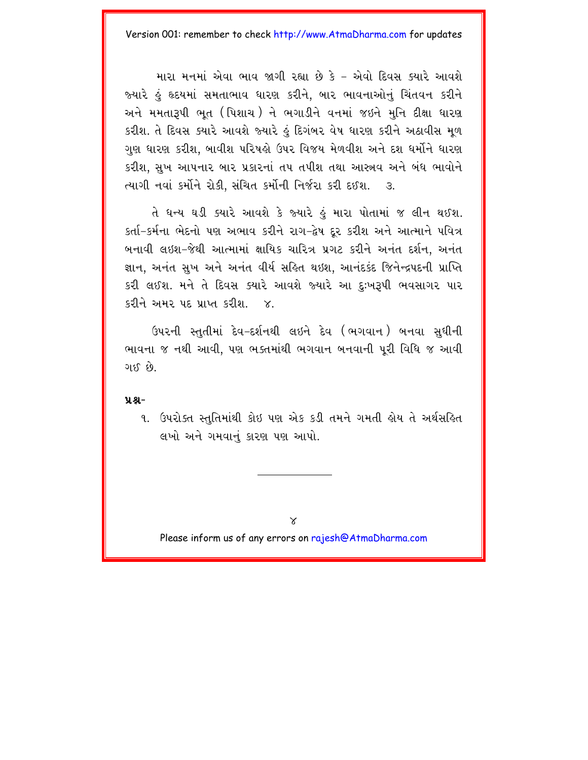મારા મનમાં એવા ભાવ જાગી રહ્યા છે કે – એવો દિવસ ક્યારે આવશે જ્યારે કું હૃદયમાં સમતાભાવ ધારણ કરીને, બાર ભાવનાઓનું ચિંતવન કરીને અને મમતારૂપી ભૂત (પિશાચ) ને ભગાડીને વનમાં જઇને મુનિ દીક્ષા ધારણ કરીશ. તે દિવસ ક્યારે આવશે જ્યારે હું દિગંબર વેષ ધારણ કરીને અઠાવીસ મૂળ ગુણ ધારણ કરીશ, બાવીશ પરિષહો ઉપર વિજય મેળવીશ અને દશ ધર્મોને ધારણ કરીશ. સુખ આપનાર બાર પ્રકારનાં તપ તપીશ તથા આસ્ત્રવ અને બંધ ભાવોને ત્યાગી નવાં કર્મોને રોકી. સંચિત કર્મોની નિર્જરા કરી દઈશ. 3.

તે ધન્ય ઘડી ક્યારે આવશે કે જ્યારે હું મારા પોતામાં જ લીન થઈશ. કર્તા-કર્મના ભેદનો પણ અભાવ કરીને રાગ-દ્વેષ દર કરીશ અને આત્માને પવિત્ર બનાવી લઇશ-જેથી આત્મામાં ક્ષાયિક ચારિત્ર પ્રગટ કરીને અનંત દર્શન, અનંત જ્ઞાન, અનંત સુખ અને અનંત વીર્ય સહિત થઇશ, આનંદકંદ જિનેન્દ્રપદની પ્રાપ્તિ કરી લઈશ. મને તે દિવસ ક્યારે આવશે જ્યારે આ દુઃખરૂપી ભવસાગર પાર કરીને અમર પદ પ્રાપ્ત કરીશ. - ૪.

ઉપરની સ્તતીમાં દેવ-દર્શનથી લઇને દેવ (ભગવાન) બનવા સધીની ભાવના જ નથી આવી. પણ ભક્તમાંથી ભગવાન બનવાની પરી વિધિ જ આવી ગઈ છે.

#### $9.8 -$

૧. ઉપરોક્ત સ્તુતિમાંથી કોઇ પણ એક કડી તમને ગમતી હોય તે અર્થસહિત લખો અને ગમવાનું કારણ પણ આપો.

 $\times$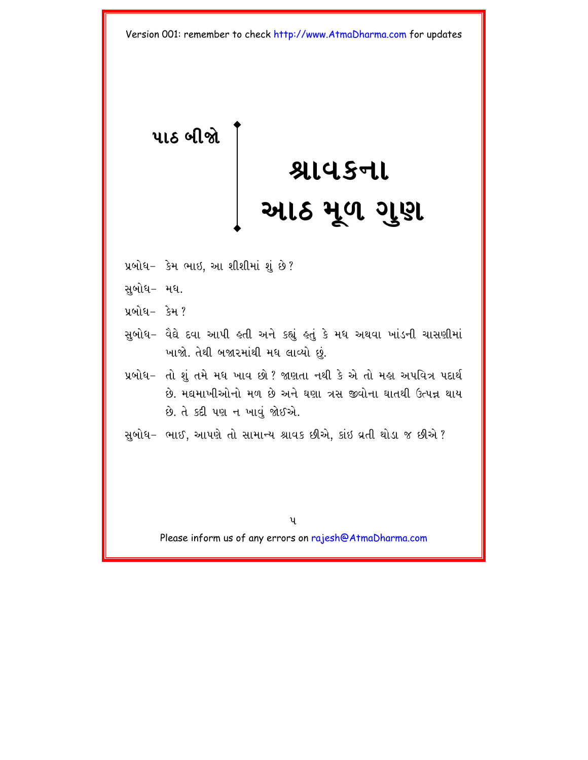## <span id="page-9-0"></span>પાઠ બીજો શ્રાવકના આઠ મૂળ ગુણ

- પ્રબોધ- કેમ ભાઇ, આ શીશીમાં શું છે?
- સબોધ- મધ.
- પ્રબોધ–ં કેમ ?
- સુબોધ- વૈઘે દવા આપી હતી અને કહ્યું હતું કે મધ અથવા ખાંડની ચાસણીમાં ખાજો. તેથી બજારમાંથી મધ લાવ્યો છં.
- પ્રબોધ−ાતો શું તમે મધ ખાવ છો ? જાણતા નથી કે એ તો મહા અપવિત્ર પદાર્થ છે મઘમાખીઓનો મળ છે અને ઘણા ત્રસ જીવોના ઘાતથી ઉત્પન્ન થાય છે. તે કદી પણ ન ખાવં જોઈએ.
- સુબોધ– ભાઈ, આપણે તો સામાન્ય શ્રાવક છીએ, કાંઇ વ્રતી થોડા જ છીએ ?

 $\mathbf{u}$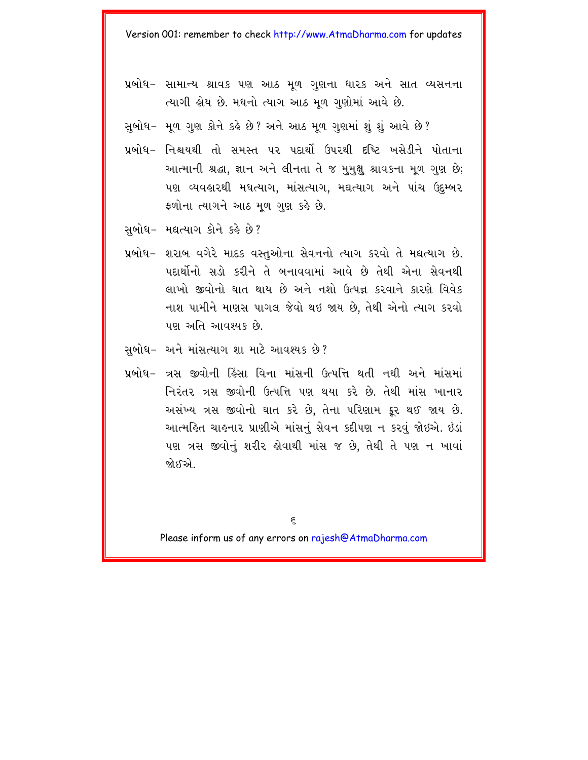પ્રબોધ- સામાન્ય શ્રાવક પણ આઠ મળ ગુણના ધારક અને સાત વ્યસનના ત્યાગી હોય છે. મધનો ત્યાગ આઠ મળ ગણોમાં આવે છે.

સબોધ- મળ ગુણ કોને કહે છે? અને આઠ મળ ગુણમાં શું શું આવે છે?

- પ્રબોધ– નિશ્ચયથી તો સમસ્ત પર પદાર્થો ઉપરથી દૃષ્ટિ ખસેડીને પોતાના આત્માની શ્રદ્ધા, જ્ઞાન અને લીનતા તે જ મુમુક્ષ શ્રાવકના મૂળ ગુણ છે; પણ વ્યવહારથી મધત્યાગ. માંસત્યાગ. મઘત્યાગ અને પાંચ ઉદમ્બર ફળોના ત્યાગને આઠ મૂળ ગુણ કહે છે.
- સબોધ- મઘત્યાગ કોને કહે છે?
- પ્રબોધ- શરાબ વગેરે માદક વસ્તુઓના સેવનનો ત્યાગ કરવો તે મઘત્યાગ છે. પદાર્થીનો સડો કરીને તે બનાવવામાં આવે છે તેથી એના સેવનથી લાખો જીવોનો ઘાત થાય છે અને નશો ઉત્પન્ન કરવાને કારણે વિવેક નાશ પામીને માણસ પાગલ જેવો થઇ જાય છે. તેથી એનો ત્યાગ કરવો પણ અતિ આવશ્યક છે.
- સબોધ- અને માંસત્યાગ શા માટે આવશ્યક છે?
- પ્રબોધ- ત્રસ જીવોની હિંસા વિના માંસની ઉત્પત્તિ થતી નથી અને માંસમાં નિરંતર ત્રસ જીવોની ઉત્પત્તિ પણ થયા કરે છે. તેથી માંસ ખાનાર અસંખ્ય ત્રસ જીવોનો ઘાત કરે છે. તેના પરિણામ કર થઈ જાય છે. આત્મહિત ચાહનાર પ્રાણીએ માંસનું સેવન કદીપણ ન કરવું જોઇએ. ઇંડાં પણ ત્રસ જીવોનું શરીર હોવાથી માંસ જ છે, તેથી તે પણ ન ખાવાં જો દાઅે

 $\epsilon$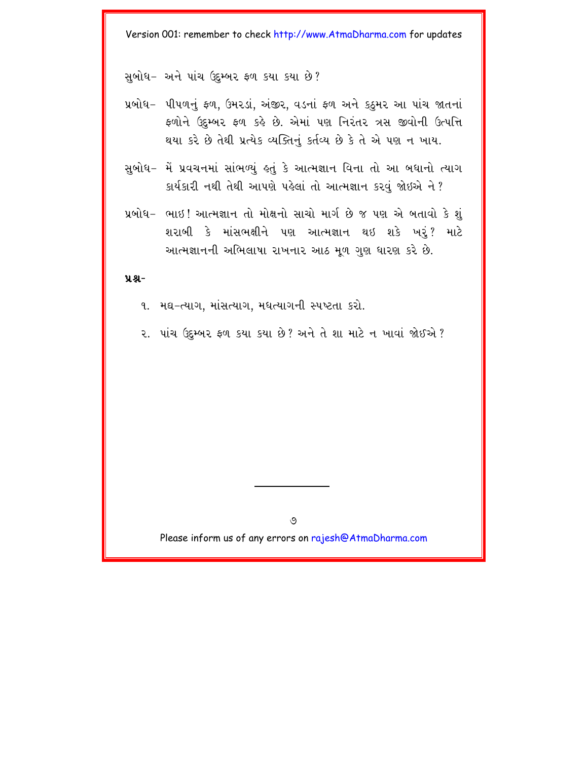સબોધ- અને પાંચ ઉદમ્બર ફળ કયા કયા છે?

- પ્રબોધ- પીપળનું ફળ, ઉમરડાં, અંજીર, વડનાં ફળ અને કઠમર આ પાંચ જાતનાં ફળોને ઉદુમ્બર ફળ કહે છે. એમાં પણ નિરંતર ત્રસ જીવોની ઉત્પત્તિ થયા કરે છે તેથી પ્રત્યેક વ્યક્તિનું કર્તવ્ય છે કે તે એ પણ ન ખાય.
- સુબોધ− મેં પ્રવચનમાં સાંભળ્યું હતું કે આત્મજ્ઞાન વિના તો આ બધાનો ત્યાગ કાર્યકારી નથી તેથી આપણે પહેલાં તો આત્મજ્ઞાન કરવું જોઇએ ને?
- પ્રબોધ- ભાઇ! આત્મજ્ઞાન તો મોક્ષનો સાચો માર્ગ છે જ પણ એ બતાવો કે શું શરાબી કે માંસભક્ષીને પણ આત્મજ્ઞાન થઇ શકે ખરૂં? માટે આત્મજ્ઞાનની અભિલાષા રાખનાર આઠ મૂળ ગુણ ધારણ કરે છે.

#### $9.8 -$

- ૧. મઘ−ત્યાગ, માંસત્યાગ, મઘત્યાગની સ્પષ્ટતા કરો.
- ૨. પાંચ ઉદુમ્બર ફળ કયા કયા છે? અને તે શા માટે ન ખાવાં જોઈએ?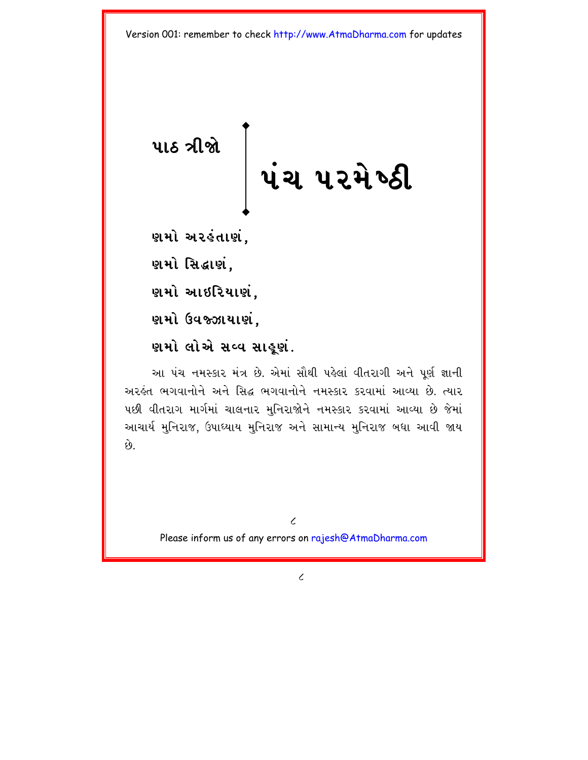<span id="page-12-0"></span>પાઠ ત્રીજ<mark>ો</mark> પંચ પ૨મેષ્ઠી

- *Q***ual** અરહંતાણં,
- *<u>vai ladei</u>*.
- **\**શમો આઇરિયાણં,
- *v***al Gussilurgi.**

#### ણમો લોએ સવ્વ સા**હ્**ણ.

આ પંચ નમસ્કાર મંત્ર છે. એમાં સૌથી પહેલાં વીતરાગી અને પર્ણ જ્ઞાની અરહંત ભગવાનોને અને સિદ્ધ ભગવાનોને નમસ્કાર કરવામાં આવ્યા છે. ત્યાર પછી વીતરાગ માર્ગમાં ચાલનાર મુનિરાજોને નમસ્કાર કરવામાં આવ્યા છે જેમાં આચાર્ય મુનિરાજ, ઉપાઘ્યાય મુનિરાજ અને સામાન્ય મુનિરાજ બધા આવી જાય  $6.6$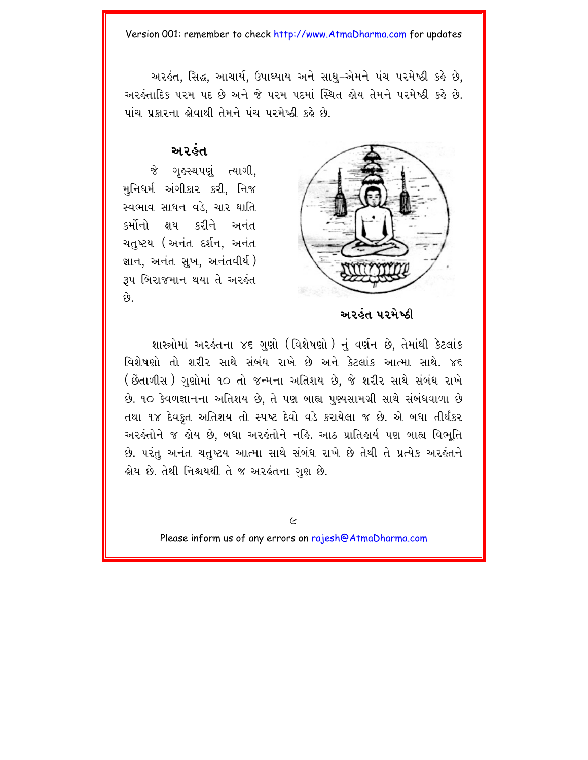અરકંત. સિદ્ધ. આચાર્ય. ઉપાધ્યાય અને સાધ-એમને પંચ પરમેષ્ઠી કહે છે. અરહંતાદિક પરમ પદ છે અને જે પરમ પદમાં સ્થિત હોય તેમને પરમેષ્ઠી કહે છે. પાંચ પ્રકારના લેવાથી તેમને પંચ પરમેષ્ઠી કહે છે.



#### <u>અરહંત</u>

જે ગહસ્થપણં ત્યાગી. મુનિધર્મ અંગીકાર કરી, નિજ સ્વભાવ સાધન વડે, ચાર ઘાતિ કર્મોનો ક્ષય કરીને અનંત ચતુષ્ટય (અનંત દર્શન, અનંત જ્ઞાન, અનંત સુખ, અનંતવીર્ય) 3૫ બિરાજમાન થયા તે અરહંત  $\hat{\mathfrak{g}}$ .

Ar**hang Discles** 

શાસ્ત્રોમાં અરહંતના ૪૬ ગુણો (વિશેષણો) નું વર્ણન છે, તેમાંથી કેટલાંક વિશેષણો તો શરીર સાથે સંબંધ રાખે છે અને કેટલાંક આત્મા સાથે. ૪૬ ( છેંતાળીસ ) ગુણોમાં ૧૦ તો જન્મના અતિશય છે. જે શરીર સાથે સંબંધ રાખે છે. ૧૦ કેવળજ્ઞાનના અતિશય છે, તે પણ બાહ્ય પુણ્યસામગ્રી સાથે સંબંધવાળા છે તથા ૧૪ દેવકત અતિશય તો સ્પષ્ટ દેવો વડે કરાયેલા જ છે. એ બધા તીર્થંકર અરકંતોને જ ક્ષેય છે, બધા અરકંતોને નકિ. આઠ પ્રાતિકાર્ય પણ બાહ્ય વિભુતિ છે. પરંતુ અનંત ચતુષ્ટય આત્મા સાથે સંબંધ રાખે છે તેથી તે પ્રત્યેક અરહંતને ક્ષેય છે. તેથી નિશ્ચયથી તે જ અરકંતના ગુણ છે.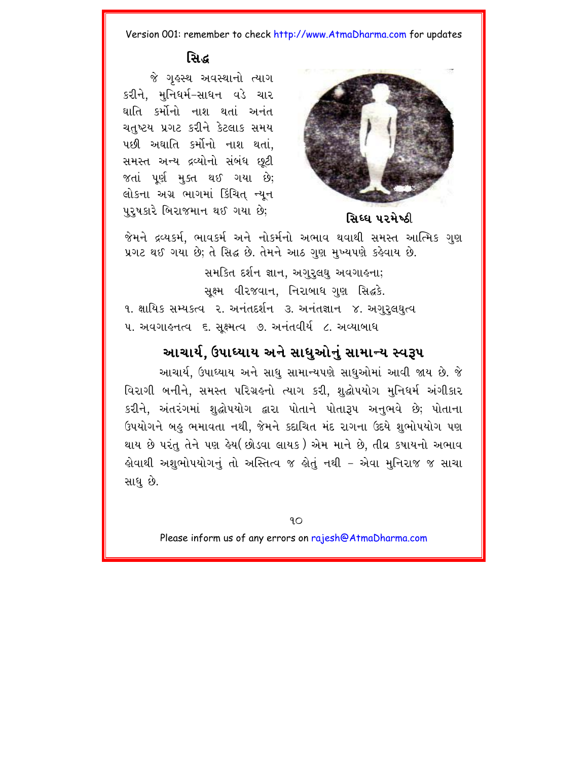

#### **isâ**

יי<br>יי જે ગહસ્થ અવસ્થાનો ત્યાગ કરીને. મનિધર્મ–સાધન વડે ચાર ઘાતિ કર્મોનો નાશ થતાં અનંત ચતુષ્ટય પ્રગટ કરીને કેટલાક સમય પછી અઘાતિ કર્મોનો નાશ થતાં. સમસ્ત અન્ય દ્રવ્યોનો સંબંધ છટી જતાં પૂર્ણ મુક્ત થઈ ગયા છે; લોકના અગ્ર ભાગમાં કિંચિત ન્યુન puruØkare ibrajman ={ gya Ke¸ **is|\ prme\*@**<sup>I</sup>

જેમને દ્રવ્યકર્મ, ભાવકર્મ અને નોકર્મનો અભાવ થવાથી સમસ્ત આત્મિક ગુણ પ્રગટ થઈ ગયા છે; તે સિદ્ધ છે. તેમને આઠ ગુણ મુખ્યપણે કહેવાય છે.

> સમકિત દર્શન જ્ઞાન, અગુરૂલઘુ અવગાહના; સૂક્ષ્મ વીરજવાન, નિરાબાધ ગુણ સિદ્ધકે.

૧. ક્ષાયિક સમ્યકત્વ ૨. અનંતદર્શન ૩. અનંતજ્ઞાન ૪. અગુરુલઘુત્વ ૫. અવગાહનત્વ ૬. સક્ષ્મત્વ ૭. અનંતવીર્ય ૮. અવ્યાબાધ

#### આચાર્ય, ઉપાધ્યાય અને સાધુઓનું સામાન્ય સ્વરૂપ

આચાર્ય, ઉપાઘ્યાય અને સાધુ સામાન્યપણે સાધુઓમાં આવી જાય છે. જે વિરાગી બનીને, સમસ્ત પરિગ્રહનો ત્યાગ કરી, શુદ્ધોપયોગ મુનિધર્મ અંગીકાર કરીને, અંતરંગમાં શદ્ધોપયોગ દ્વારા પોતાને પોતારૂપ અનુભવે છે; પોતાના ઉપયોગને બહુ ભમાવતા નથી, જેમને કદાચિત મંદ રાગના ઉદયે શભોપયોગ પણ થાય છે પરંતુ તેને પણ હેય( છોડવા લાયક ) એમ માને છે. તીવ્ર કપાયનો અભાવ કોવાથી અશુભોપયોગનું તો અસ્તિત્વ જ કોતું નથી – એવા મુનિરાજ જ સાચા સાધુ છે.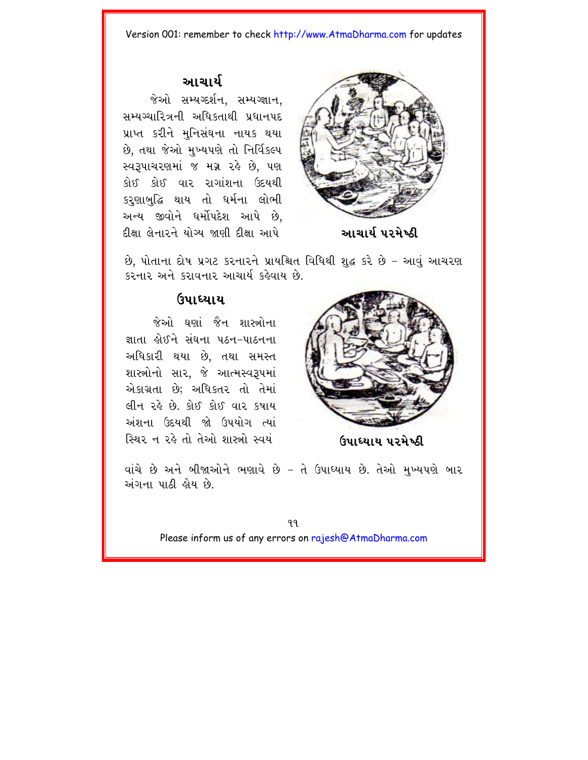#### આચાર્ય

જેઓ સમ્યગ્દર્શન. સમ્યગ્જ્ઞાન. સમ્યગ્ચારિત્રની અધિકતાથી પ્રધાનપદ પ્રાપ્ત કરીને મનિસંઘના નાયક થયા છે. તથા જેઓ મુખ્યપણે તો નિર્વિકલ્પ સ્વરૂપાચરણમાં જ મગ્ન રહે છે. પણ કોઈ કોઈ લાર રાગાંશના ઉદયથી કરણાબદ્ધિ થાય તો ધર્મના લોભી અન્ય જીવોને ધર્મોપદેશ આપે છે. દીક્ષા લેનારને યોગ્ય જાણી દીક્ષા આપે



આચાર્ય ૫૨મેથ્ઠી

છે. પોતાના દોષ પ્રગટ કરનારને પ્રાયશ્ચિત વિધિથી શુદ્ધ કરે છે – આવું આચરણ કરનાર અને કરાવનાર આચાર્ય કહેવાય છે.

#### (રપાધ્યાય

જેઓ ઘણાં જૈન શાસ્ત્રોના જ્ઞાતા હોઈને સંઘના ૫ઠન-૫ાઠનના અધિકારી થયા છે. તથા સમસ્ત શાસ્ત્રોનો સાર, જે આત્મસ્વરૂપમાં એકાગ્રતા છે: અધિકતર તો તેમાં લીન રહે છે. કોઈ કોઈ વાર કપાય અંશના ઉદયથી જો ઉપયોગ ત્યાં સ્થિર ન રહે તો તેઓ શાસ્ત્રો સ્વયં



ઉપાધ્યાય પરમેષ્ઠી

વાંચે છે અને બીજાઓને ભણાવે છે – તે ઉપાધ્યાય છે. તેઓ મખ્યપણે બાર અંગના પાઠી હોય છે.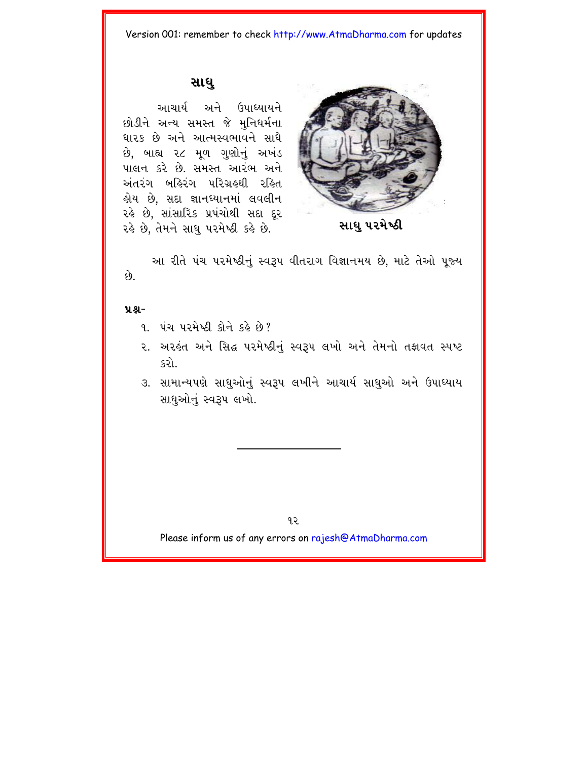#### **sa\u**

રહે છે, સાંસારિક પ્રપંચોથી સદા દૂર આચાર્ય અને ઉપાધ્યાયને છોડીને અન્ય સમસ્ત જે મુનિધર્મના ધારક છે અને આત્મસ્વભાવને સાધે છે, બાહ્ય ૨૮ મૂળ ગુણોનું અખંડ પાલન કરે છે. સમસ્ત આરંભ અને અંતરંગ બહિરંગ પરિગ્રહથી રહિત ક્ષેય છે, સદા જ્ઞાનધ્યાનમાં લવલીન રહે છે, તેમને સાધુ પરમેષ્ઠી કહે છે. ે સા**ધુ પરમેષ્ઠી** 



આ રીતે પંચ પરમેષ્ઠીનું સ્વરૂપ વીતરાગ વિજ્ઞાનમય છે, માટે તેઓ પૂજ્ય  $\hat{\omega}$ .

#### **ÝÆ-**

- $9 12$  u2 2 2 3 4 5 6 7 8 8 9 7
- ૨. અરહંત અને સિદ્ધ પરમેષ્ઠીનું સ્વરૂપ લખો અને તેમનો તજ્ઞવત સ્પષ્ટ કરો.
- ૩. સામાન્યપણે સાધુઓનું સ્વરૂપ લખીને આચાર્ય સાધુઓ અને ઉપાઘ્યાય સાધુઓનું સ્વરૂપ લખો.

 $92$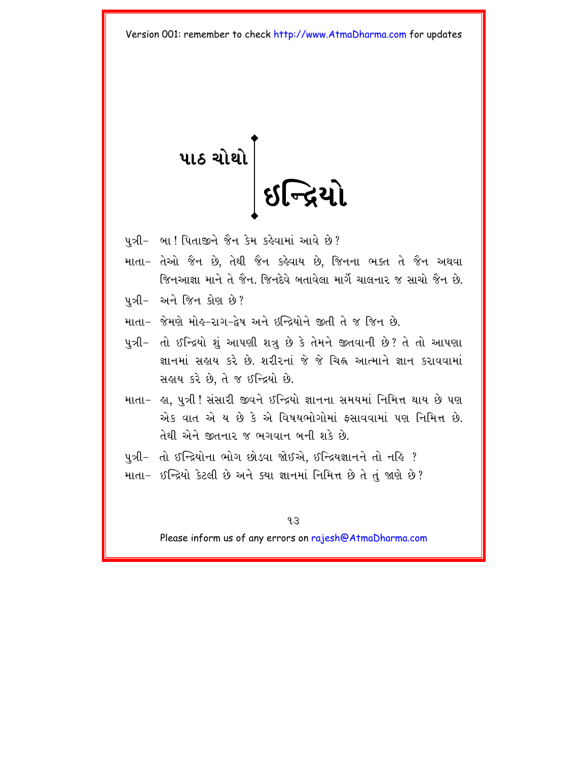<span id="page-17-0"></span> $\left|\frac{1}{2}\right|$ 

- પુત્રી- બા ! પિતાજીને જૈન કેમ કહેવામાં આવે છે?
- માતા- તેઓ જૈન છે, તેથી જૈન કહેવાય છે, જિનના ભક્ત તે જૈન અથવા જિનઆજ્ઞા માને તે જૈન. જિનદેવે બતાવેલા માર્ગે ચાલનાર જ સાચો જૈન છે.
- ૫ત્રી− અને જિન કોણ છે?
- માતા- જેમણે મોહ-રાગ-દ્રેષ અને ઇન્દ્રિયોને જીતી તે જ જિન છે.
- પુત્રી- તો ઈન્દ્રિયો શું આપણી શત્રુ છે કે તેમને જીતવાની છે? તે તો આપણા जानमां सङ्गय કરે છે. શરીરનાં જે જે ચિહ્ન આત્માને જ્ઞાન કરાવવામાં સહાય કરે છે. તે જ ઈન્દ્રિયો છે.
- માતા- હા, પુત્રી ! સંસારી જીવને ઈન્દ્રિયો જ્ઞાનના સમયમાં નિમિત્ત થાય છે પણ એક વાત એ ય છે કે એ વિષયભોગોમાં ફસાવવામાં પણ નિમિત્ત છે. તેથી એને જીતનાર જ ભગવાન બની શકે છે.
- પુત્રી- તો ઈન્દ્રિયોના ભોગ છોડવા જોઈએ, ઈન્દ્રિયજ્ઞાનને તો નહિ ?
- માતા- ઈન્દ્રિયો કેટલી છે અને ક્યા જ્ઞાનમાં નિમિત્ત છે તે તું જાણે છે?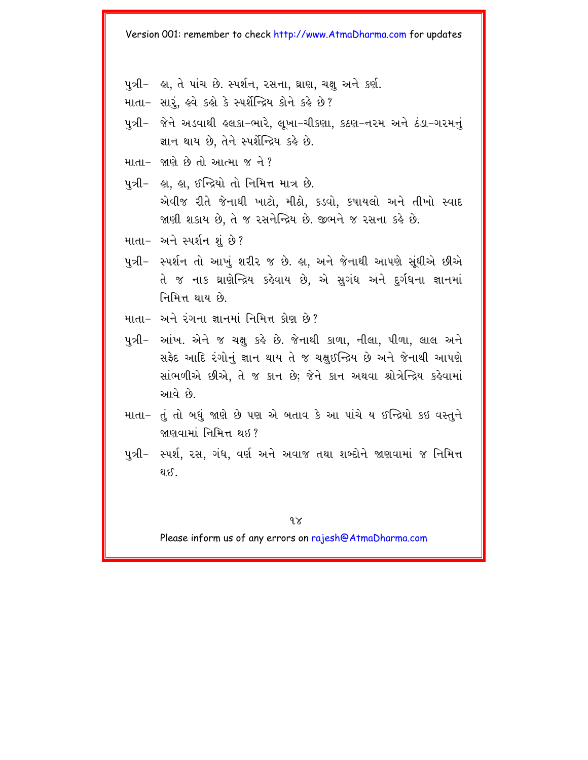- પુત્રી- હા, તે પાંચ છે. સ્પર્શન, રસના, ઘ્રાણ, ચક્ષુ અને કર્ણ.
- માતા- સારં, હવે કહો કે સ્પર્શેન્દ્રિય કોને કહે છે?
- પુત્રી− જેને અડવાથી ઙ્લકા−ભારે, લખા−ચીકણા, કઠણ−ન૨મ અને ઠંડા−ગ૨મનું જ્ઞાન થાય છે. તેને સ્પર્શેન્દ્રિય કહે છે.
- માતા- જાણે છે તો આત્મા જ ને?
- પુત્રી− હા, હા, ઈન્દ્રિયો તો નિમિત્ત માત્ર છે. એવીજ રીતે જેનાથી ખાટો, મીઠો, કડવો, કપાયલો અને તીખો સ્વાદ જાણી શકાય છે. તે જ રસનેન્દ્રિય છે. જીભને જ રસના કહે છે.
- માતા– અને સ્પર્શન શં છે?
- પુત્રી- સ્પર્શન તો આખું શરીર જ છે. હા, અને જેનાથી આપણે સંઘીએ છીએ તે જ નાક ઘ્રાણેન્દ્રિય કહેવાય છે, એ સુગંધ અને દુર્ગધના જ્ઞાનમાં નિમિત્ત થાય છે.
- માતા– અને રંગના જ્ઞાનમાં નિમિત્ત કોણ છે?
- પુત્રી- આંખ. એને જ ચક્ષુ કહે છે. જેનાથી કાળા. નીલા. પીળા. લાલ અને સફેદ આદિ રંગોનં જ્ઞાન થાય તે જ ચક્ષઈન્દ્રિય છે અને જેનાથી આપણે સાંભળીએ છીએ, તે જ કાન છે; જેને કાન અથવા શ્રોત્રેન્દ્રિય કહેવામાં આવે છે.
- માતા- તું તો બધું જાણે છે પણ એ બતાવ કે આ પાંચે ય ઈન્દ્રિયો કઇ વસ્તુને જાણવામાં નિમિત્ત થઇ?
- પુત્રી– સ્પર્શ, ૨સ, ગંધ, વર્ણ અને અવાજ તથા શબ્દોને જાણવામાં જ નિમિત્ત થ ઈ

 $98$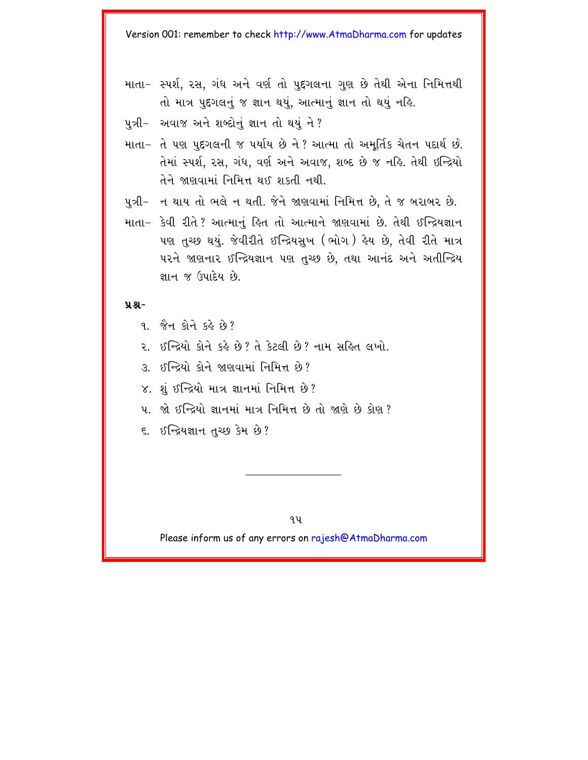- માતા– સ્પર્શ, રસ, ગંધ અને વર્ણ તો પુદગલના ગુણ છે તેથી એના નિમિત્તથી તો માત્ર પુદ્દગલનું જ જ્ઞાન થયું, આત્માનું જ્ઞાન તો થયું નહિ.
- પુત્રી– અવાજ અને શબ્દોનું જ્ઞાન તો થયું ને ?
- માતા- તે પણ પુદ્દગલની જ પર્યાય છે ને? આત્મા તો અમૂર્તિક ચેતન પદાર્થ છે. તેમાં સ્પર્શ, રસ, ગંધ, વર્ણ અને અવાજ, શબ્દ છે જ નહિ. તેથી ઇન્દ્રિયો તેને જાણવામાં નિમિત્ત થઈ શકતી નથી.
- પુત્રી– ુન થાય તો ભલે ન થતી. જેને જાણવામાં નિમિત્ત છે. તે જ બરાબર છે.
- માતા- કેવી રીતે? આત્માનું હિત તો આત્માને જાણવામાં છે. તેથી ઈન્દ્રિયજ્ઞાન પણ તુચ્છ થયું. જેવીરીતે ઈન્દ્રિયસુખ (ભોગ) હેય છે, તેવી રીતે માત્ર ૫૨ને જાણનાર ઈન્દ્રિયજ્ઞાન પણ તુચ્છ છે, તથા આનંદ અને અતીન્દ્રિય જ્ઞાન જ ઉપાદેય છે.

#### **ÝÆ-**

- $9 \overset{\sim}{\infty} \overset{\sim}{\text{sh}} \overset{\sim}{\text{sh}} \overset{\sim}{\text{sh}} \overset{\sim}{\text{sh}}$
- $\overline{Q}$  sift she kala kala kalendar kalendar kalendar karakat karakat da kalendar asas simula kalendar kalendar kalendar ka
- 3. ઈન્દ્રિયો કોને જાણવામાં નિમિત્ત છે?
- $\times$ . શું ઈન્દ્રિયો માત્ર જ્ઞાનમાં નિમિત્ત છે?
- ૫. જો ઈન્દ્રિયો જ્ઞાનમાં માત્ર નિમિત્ત છે તો જાણે છે કોણ ?
- $\epsilon$ . ઈન્દ્રિયજ્ઞાન તુચ્છ કેમ છે?

Please inform us of any errors on rajesh@AtmaDharma.com

 $94$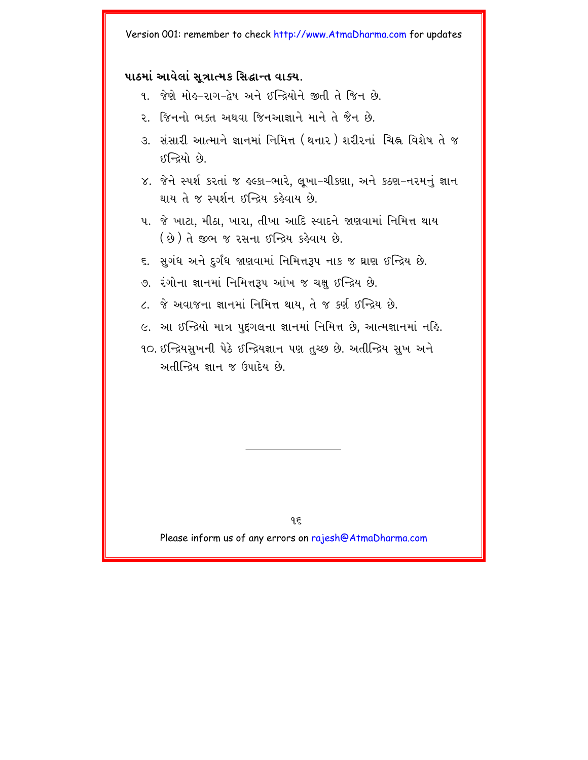#### પાઠમાં આવેલાં સત્રાત્મક સિદ્ધાન્ત વાક્ય.

- ૧. જેણે મોઙ્-રાગ−દ્વેષ અને ઈન્દ્રિયોને જીતી તે જિન છે.
- ર. જિનનો ભક્ત અથવા જિનઆજ્ઞાને માને તે જૈન છે.
- ૩. સંસારી આત્માને જ્ઞાનમાં નિમિત્ત (થનાર ) શરીરનાં ચિહ્ન વિશેષ તે જ *रु*न्दियो *छे*
- ૪. જેને સ્પર્શ કરતાં જ હ્લ્કા-ભારે, લખા-ચીકણા, અને કઠણ-નરમનું જ્ઞાન थाय ते % स्पर्शन हल्दिय हुईयाय છે.
- ૫. જે ખાટા, મીઠા, ખારા, તીખા આદિ સ્વાદને જાણવામાં નિમિત્ત થાય ( છે ) તે જીભ જ રસના ઈન્દ્રિય કહેવાય છે.
- સુગંધ અને દુર્ગંધ જાણવામાં નિમિત્તરૂપ નાક જ ઘ્રાણ ઈન્દ્રિય છે.  $\epsilon$ .
- ૭. રંગોના જ્ઞાનમાં નિમિત્તરૂપ આંખ જ ચક્ષ ઈન્દ્રિય છે.
- ૮. જે અવાજના જ્ઞાનમાં નિમિત્ત થાય. તે જ કર્ણ ઈન્દ્રિય છે.
- ૯. આ ઈન્દ્રિયો માત્ર પુદ્દગલના જ્ઞાનમાં નિમિત્ત છે. આત્મજ્ઞાનમાં નહિ. ૧૦. ઈન્દ્રિયસુખની પેઠે ઈન્દ્રિયજ્ઞાન પણ તુચ્છ છે. અતીન્દ્રિય સુખ અને અતીન્દિય જ્ઞાન જ ઉપાદેય છે.

 $95$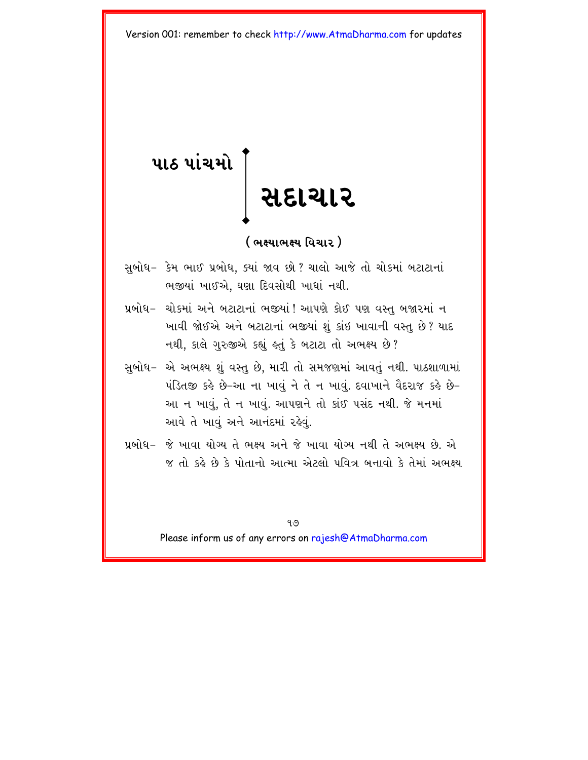# <span id="page-21-0"></span>પાઠ પાંચમો $\Big[$ સદાચાર

( ભક્ષ્યાભક્ષ્ય વિચાર )

- સુબોધ– કેમ ભાઈ પ્રબોધ, ક્યાં જાવ છો ? ચાલો આજે તો ચોકમાં બટાટાનાં ભજીયાં ખાઈએ, ઘણા દિવસોથી ખાધાં નથી.
- પ્રબોધ- ચોકમાં અને બટાટાનાં ભજીયાં ! આપણે કોઈ પણ વસ્તુ બજારમાં ન ખાવી જોઈએ અને બટાટાનાં ભજીયાં શું કાંઇ ખાવાની વસ્તુ છે? યાદ નથી, કાલે ગુરુજીએ કહ્યું હતું કે બટાટા તો અભક્ષ્ય છે?
- સુબોધ- એ અભક્ષ્ય શું વસ્તુ છે. મારી તો સમજણમાં આવતું નથી. પાઠશાળામાં પંડિતજી કહે છે-આ ના ખાવું ને તે ન ખાવું. દવાખાને વૈદરાજ કહે છે-આ ન ખાવું, તે ન ખાવું. આપણને તો કાંઈ પસંદ નથી. જે મનમાં આવે તે ખાવું અને આનંદમાં રહેવું.
- પબોધ- જે ખાવા યોગ્ય તે ભક્ષ્ય અને જે ખાવા યોગ્ય નથી તે અભક્ષ્ય છે. એ જ તો કહે છે કે પોતાનો આત્મા એટલો પવિત્ર બનાવો કે તેમાં અભક્ષ્ય

 $9.9$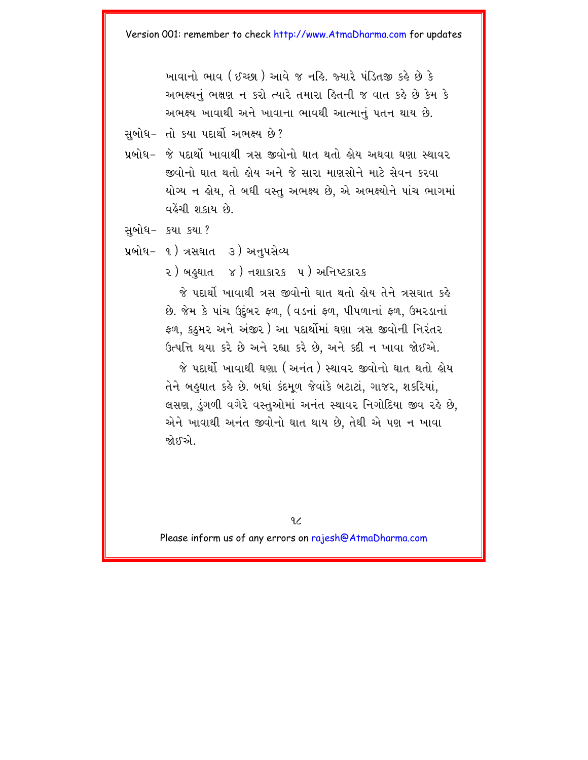ખાવાનો ભાવ (ઈચ્છા) આવે જ નહિ જ્યારે પંડિતજી કહે છે કે અભક્ષ્યનું ભક્ષણ ન કરો ત્યારે તમારા હિતની જ વાત કહે છે કેમ કે અભક્ષ્ય ખાવાથી અને ખાવાના ભાવથી આત્માનું પતન થાય છે.

- સુબોધ- તો કયા પદાર્થો અભક્ષ્ય છે?
- ૫બોધ–ા જે ૫દાર્થી ખાવાથી ત્રસ જીવોનો ઘાત થતો હોય અથવા ઘણા સ્થાવર જીવોનો ઘાત થતો હોય અને જે સારા માણસોને માટે સેવન કરવા યોગ્ય ન હોય. તે બધી વસ્ત અભક્ષ્ય છે. એ અભક્ષ્યોને પાંચ ભાગમાં વહેંચી શકાય છે
- સબોધ- કયા કયા ?
- પ્રબોધ- ૧) ત્રસઘાત \_૩) અનપસેવ્ય
	- ૨) બહુઘાત ૪) નશાકારક ૫) અનિષ્ટકારક

જે પદાર્થો ખાવાથી ત્રસ જીવોનો ઘાત થતો હોય તેને ત્રસઘાત કહે છે. જેમ કે પાંચ ઉદંબર ફળ. ( વડનાં ફળ. પીપળાનાં ફળ. ઉમરડાનાં ફળ, કઠુમર અને અંજીર ) આ પદાર્થોમાં ઘણા ત્રસ જીવોની નિરંતર ઉત્પત્તિ થયા કરે છે અને રહ્યા કરે છે, અને કદી ન ખાવા જોઈએ.

જે પદાર્થો ખાવાથી ઘણા (અનંત ) સ્થાવર જીવોનો ઘાત થતો હોય તેને બહુઘાત કહે છે. બધાં કંદમળ જેવાંકે બટાટાં, ગાજર, શકરિયાં, લસણ, ડુંગળી વગેરે વસ્તુઓમાં અનંત સ્થાવર નિગોદિયા જીવ રહે છે. એને ખાવાથી અનંત જીવોનો ઘાત થાય છે. તેથી એ પણ ન ખાવા જોક્ઽએ..

 $9<sub>6</sub>$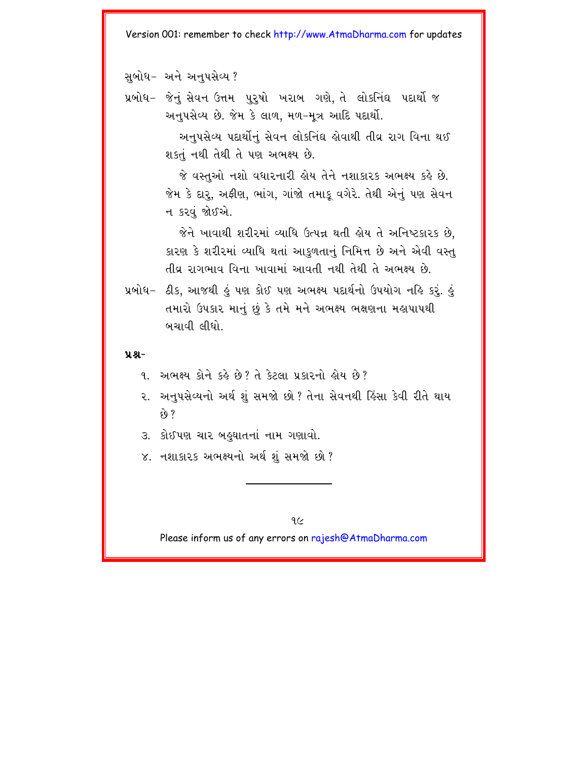સબોધ- અને અનપસેવ્ય?

પ્રબોધ- જેનું સેવન ઉત્તમ પુરૂષો ખરાબ ગણે, તે લોકનિંઘ પદાર્થો જ અનુપસેવ્ય છે. જેમ કે લાળ, મળ-મૂત્ર આદિ પદાર્થો.

> અનુપસેવ્ય પદાર્થોનું સેવન લોકનિંઘ લોવાથી તીવ્ર રાગ વિના થઈ શકતું નથી તેથી તે પણ અભક્ષ્ય છે.

> જે વસ્તુઓ નશો વધારનારી હોય તેને નશાકારક અભક્ષ્ય કહે છે. જેમ કે દારૂ, અફીણ, ભાંગ, ગાંજો તમાકૂ વગેરે. તેથી એનું પણ સેવન ન કરવું જોઈએ.

જેને ખાવાથી શરીરમાં વ્યાધિ ઉત્પન્ન થતી હોય તે અનિષ્ટકારક છે. કારણ કે શરીરમાં વ્યાધિ થતાં આકળતાનું નિમિત્ત છે અને એવી વસ્તુ તીવ્ર રાગભાવ વિના ખાવામાં આવતી નથી તેથી તે અભક્ષ્ય છે.

પ્રબોધ- ઠીક, આજથી હું પણ કોઈ પણ અભક્ષ્ય પદાર્થનો ઉપયોગ નહિ કરું. હું તમારો ઉપકાર માનું છું કે તમે મને અભક્ષ્ય ભક્ષણના મહાપાપથી બચાવી લીધો.

#### $9.8 -$

- १ अભક્ષ્ય કોને કહે છે? તે કેટલા પ્રકારનો હોય છે?
- ૨. અનુપસેવ્યનો અર્થશું સમજો છો ? તેના સેવનથી હિંસા કેવી રીતે થાય  $69.2$
- ૩. કોઈપણ ચાર બહુઘાતનાં નામ ગણાવો.
- ૪. નશાકારક અભક્ષ્યનો અર્થશું સમજો છો?

 $9<sub>2</sub>$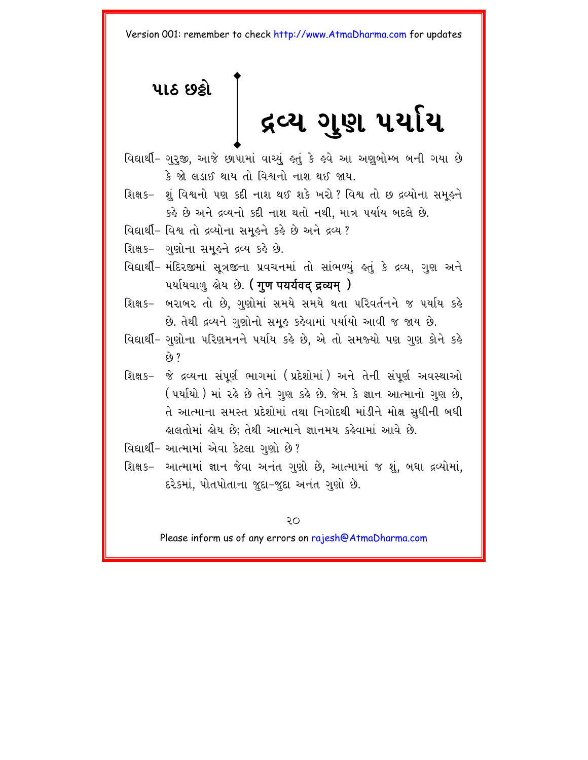<span id="page-24-0"></span>પાઠ છક્રો દ્રવ્ય ગુણ પર્યાય

- વિદ્યાર્થી- ગુરુજી, આજે છાપામાં વાચ્યું કરતં કે કરવ આ અણબોમ્બ બની ગયા છે કે જો લડાઈ થાય તો વિશ્વનો નાશ થઈ જાય.
- શિક્ષક- શું વિશ્વનો પણ કદી નાશ થઈ શકે ખરો? વિશ્વ તો છ દ્રવ્યોના સમુહને કહે છે અને દ્રવ્યનો કદી નાશ થતો નથી, માત્ર પર્યાય બદલે છે.
- વિદ્યાર્થી- વિશ્વ તો દ્રવ્યોના સમૂહને કહે છે અને દ્રવ્ય ?
- શિક્ષક- ગુણોના સમૂહને દ્રવ્ય કહે છે.
- વિદ્યાર્થી- મંદિરજીમાં સૂત્રજીના પ્રવચનમાં તો સાંભળ્યું હતું કે દ્રવ્ય, ગુણ અને पर्यायवाण डोय છे. (गण पयर्यवद द्रव्यम)
- શિક્ષક- બરાબર તો છે, ગુણોમાં સમયે સમયે થતા પરિવર્તનને જ પર્યાય કહે છે. તેથી દ્રવ્યને ગુણોનો સમુક કર્કવામાં પર્યાયો આવી જ જાય છે.
- વિદ્યાર્થી- ગુણોના પરિણમનને પર્યાય કહે છે. એ તો સમજ્યો પણ ગુણ કોને કહે  $60.7$
- શિક્ષક− જે દ્રવ્યના સંપર્ણ ભાગમાં (પ્રદેશોમાં) અને તેની સંપર્ણ અવસ્થાઓ ( પર્યાયો) માં રહે છે તેને ગુણ કહે છે. જેમ કે જ્ઞાન આત્માનો ગુણ છે, તે આત્માના સમસ્ત પ્રદેશોમાં તથા નિગોદથી માંડીને મોક્ષ સુધીની બધી હાલતોમાં હોય છે: તેથી આત્માને જ્ઞાનમય કહેવામાં આવે છે.
- વિદ્યાર્થી- આત્મામાં એવા કેટલા ગુણો છે?
- શિક્ષક- આત્મામાં જ્ઞાન જેવા અનંત ગુણો છે, આત્મામાં જ શું, બધા દ્રવ્યોમાં, દરેકમાં. પોતપોતાના જદા-જદા અનંત ગણો છે.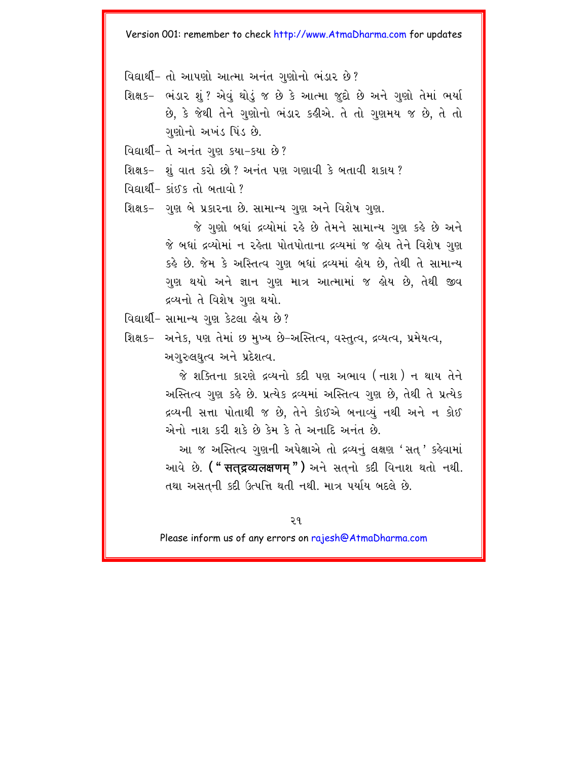વિદ્યાર્થી- તો આપણો આત્મા અનંત ગણોનો ભંડાર છે?

- શિક્ષક– ભંડાર શું ? એવું થોડું જ છે કે આત્મા જુદો છે અને ગુણો તેમાં ભર્યા છે, કે જેથી તેને ગુણોનો ભંડાર કહીએ. તે તો ગુણમય જ છે, તે તો ગણોનો અખંડ પિંડ છે.
- વિદ્યાર્થી- તે અનંત ગુણ કયા-કયા છે?
- શિક્ષક- શંવાત કરો છો? અનંત પણ ગણાવી કે બતાવી શકાય?
- વિદ્યાર્થી– કાંઈક તો બતાવો ?
- શિક્ષક– ગુણ બે પ્રકારના છે. સામાન્ય ગુણ અને વિશેષ ગુણ.

જે ગુણો બધાં દ્રવ્યોમાં રહે છે તેમને સામાન્ય ગુણ કહે છે અને જે બધાં દ્રવ્યોમાં ન રહેતા પોતપોતાના દ્રવ્યમાં જ હોય તેને વિશેષ ગુણ કહે છે. જેમ કે અસ્તિત્વ ગુણ બધાં દ્રવ્યમાં હોય છે, તેથી તે સામાન્ય ગુણ થયો અને જ્ઞાન ગુણ માત્ર આત્મામાં જ હોય છે, તેથી જીવ દ્રવ્યનો તે વિશેષ ગણ થયો.

- વિદ્યાર્થી- સામાન્ય ગુણ કેટલા હોય છે?
- શિક્ષક– અનેક, પણ તેમાં છ મખ્ય છે–અસ્તિત્વ, વસ્તત્વ, દ્રવ્યત્વ, પ્રમેયત્વ, અગુરુલઘુત્વ અને પ્રદેશત્વ.

 $\hat{\alpha}$  શક્તિના કારણે દ્રવ્યનો કદી પણ અભાવ (નાશ) ન થાય તેને અસ્તિત્વ ગુણ કહે છે. પ્રત્યેક દ્રવ્યમાં અસ્તિત્વ ગુણ છે, તેથી તે પ્રત્યેક દ્રવ્યની સત્તા પોતાથી જ છે. તેને કોઈએ બનાવ્યું નથી અને ન કોઈ એનો નાશ કરી શકે છે કેમ કે તે અનાદિ અનંત છે.

આ જ અસ્તિત્વ ગુણની અપેક્ષાએ તો દ્રવ્યનું લક્ષણ 'સત ' કહેવામાં આવે છે. ( **" सतद्रव्यलक्षणम ")** અને સતનો કદી વિનાશ થતો નથી. તથા અસતની કદી ઉત્પત્તિ થતી નથી. માત્ર પર્યાય બદલે છે.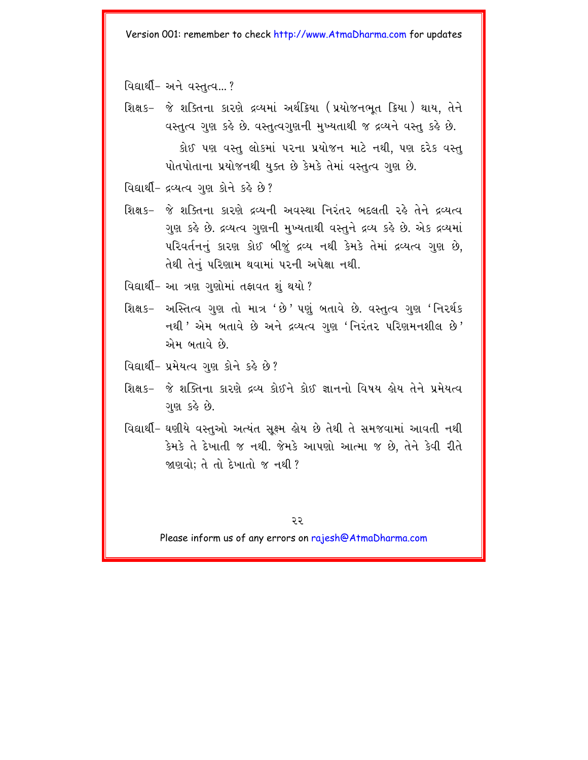વિદ્યાર્થી- અને વસ્તત્વ...?

શિક્ષક– જે શક્તિના કારણે દ્રવ્યમાં અર્થક્રિયા (પ્રયોજનભૂત ક્રિયા) થાય, તેને વસ્તત્વ ગુણ કહે છે. વસ્તત્વગુણની મુખ્યતાથી જ દ્રવ્યને વસ્તુ કહે છે. કોઈ પણ વસ્તુ લોકમાં પરના પ્રયોજન માટે નથી, પણ દરેક વસ્તુ પોતપોતાના પ્રયોજનથી યુક્ત છે કેમકે તેમાં વસ્તૃત્વ ગુણ છે.

વિદ્યાર્થી- દ્રવ્યત્વ ગણ કોને કહે છે?

- શિક્ષક– જે શક્તિના કારણે દ્રવ્યની અવસ્થા નિરંતર બદલતી રહે તેને દ્રવ્યત્વ ગુણ કહે છે. દ્રવ્યત્વ ગુણની મુખ્યતાથી વસ્તુને દ્રવ્ય કહે છે. એક દ્રવ્યમાં પરિવર્તનનું કારણ કોઈ બીજું દ્રવ્ય નથી કેમકે તેમાં દ્રવ્યત્વ ગુણ છે, તેથી તેનં પરિણામ થવામાં પરની અપેક્ષા નથી.
- વિદ્યાર્થી- આ ત્રણ ગુણોમાં તજ્ઞવત શું થયો ?
- શિક્ષક– અસ્તિત્વ ગણ તો માત્ર 'છે' પણં બતાવે છે. વસ્તત્વ ગણ 'નિરર્થક નથી 'એમ બતાવે છે અને દ્રવ્યત્વ ગુણ 'નિરંતર પરિણમનશીલ છે' એમ બતાવે છે.
- વિદ્યાર્થી- પ્રમેયત્વ ગણ કોને કહે છે?
- શિક્ષક– જે શક્તિના કારણે દ્રવ્ય કોઈને કોઈ જ્ઞાનનો વિષય હોય તેને પ્રમેયત્વ ગણ કહે છે.
- વિદ્યાર્થી- ઘણીયે વસ્તુઓ અત્યંત સુક્ષ્મ હોય છે તેથી તે સમજવામાં આવતી નથી કેમકે તે દેખાતી જ નથી. જેમકે આપણો આત્મા જ છે, તેને કેવી રીતે જાણવો: તે તો દેખાતો જ નથી ?

22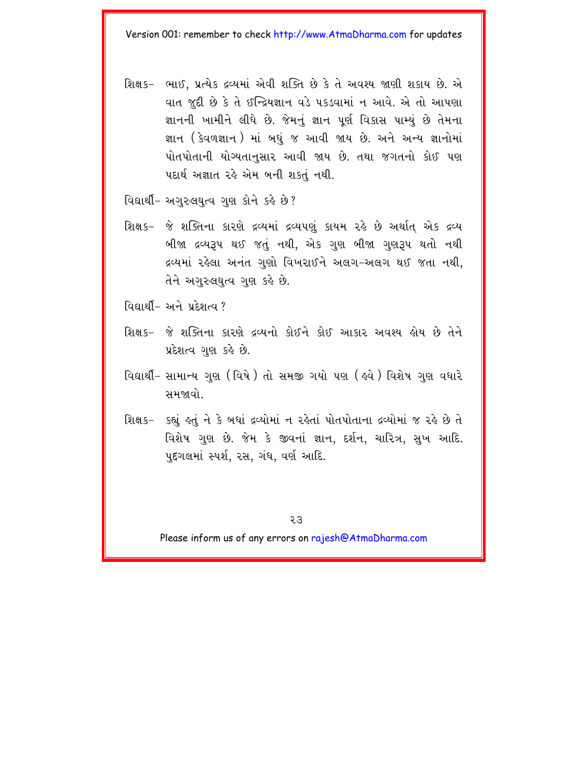- શિક્ષક- ભાઈ, પ્રત્યેક દ્રવ્યમાં એવી શક્તિ છે કે તે અવશ્ય જાણી શકાય છે. એ વાત જુદી છે કે તે ઈન્દ્રિયજ્ઞાન વડે ૫કડવામાં ન આવે. એ તો આપણા જ્ઞાનની ખામીને લીધે છે. જેમનું જ્ઞાન પૂર્ણ વિકાસ પામ્યું છે તેમના જ્ઞાન (કેવળજ્ઞાન) માં બધું જ આવી જાય છે. અને અન્ય જ્ઞાનોમાં પોતપોતાની યોગ્યતાનુસાર આવી જાય છે. તથા જગતનો કોઈ પણ પદાર્થ અજ્ઞાત રહે એમ બની શકતું નથી.
- વિદ્યાર્થી- અગુરુલઘુત્વ ગુણ કોને કહે છે?
- શિક્ષક– જે શક્તિના કારણે દ્રવ્યમાં દ્રવ્યપણું કાયમ રહે છે અર્થાત એક દ્રવ્ય બીજા દ્રવ્યરૂપ થઈ જતું નથી, એક ગુણ બીજા ગુણરૂપ થતો નથી દ્રવ્યમાં રહેલા અનંત ગુણો વિખરાઈને અલગ-અલગ થઈ જતા નથી, તેને અગુરુલઘુત્વ ગુણ કહે છે.
- વિદ્યાર્થી- અને પ્રદેશત્વ $?$
- શિક્ષક- જે શક્તિના કારણે દ્રવ્યનો કોઈને કોઈ આકાર અવશ્ય લેય છે તેને પ્રદેશત્વ ગુણ કહે છે.
- વિદ્યાર્થી- સામાન્ય ગુણ (વિષે ) તો સમજી ગયો પણ ( હવે ) વિશેષ ગુણ વધારે સમજાવો.
- શિક્ષક- કહ્યું હતું ને કે બધાં દ્રવ્યોમાં ન રહેતાં પોતપોતાના દ્રવ્યોમાં જ રહે છે તે વિશેષ ગુણ છે. જેમ કે જીવનાં જ્ઞાન, દર્શન, ચારિત્ર, સુખ આદિ. પુદ્દગલમાં સ્પર્શ, રસ, ગંધ, વર્ણ આદિ.

 $53$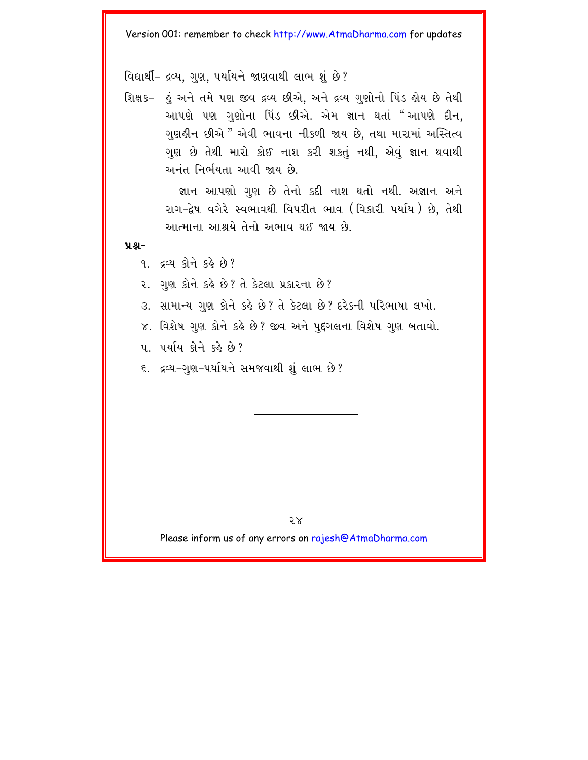વિદ્યાર્થી- દ્રવ્ય. ગણ. પર્યાયને જાણવાથી લાભ શું છે?

શિક્ષક- હું અને તમે પણ જીવ દ્રવ્ય છીએ, અને દ્રવ્ય ગુણોનો પિંડ હોય છે તેથી આપણે પણ ગુણોના પિંડ છીએ. એમ જ્ઞાન થતાં "આપણે દીન, ગુણહીન છીએ " એવી ભાવના નીકળી જાય છે, તથા મારામાં અસ્તિત્વ ગુણ છે તેથી મારો કોઈ નાશ કરી શકતું નથી, એવું જ્ઞાન થવાથી અનંત નિર્ભયતા આવી જાય છે.

> જ્ઞાન આપણો ગણ છે તેનો કદી નાશ થતો નથી. અજ્ઞાન અને રાગ-દ્વેષ વગેરે સ્વભાવથી વિપરીત ભાવ (વિકારી પર્યાય) છે, તેથી આત્માના આશ્રયે તેનો અભાવ થઈ જાય છે.

#### **ÝÆ-**

- $9.$   $624$   $81 + 88$   $89$ ?
- ૨. ગુણ કોને કહે છે? તે કેટલા પ્રકારના છે?
- 3. સામાન્ય ગુણ કોને કહે છે? તે કેટલા છે? દરેકની પરિભાષા લખો.
- ૪. વિશેષ ગુણ કોને કહે છે? જીવ અને પુદ્દગલના વિશેષ ગુણ બતાવો.
- <u>પ. પર્યાય કોને કહે છે?</u>
- ૬. દ્રવ્ય-ગુણ-પર્યાયને સમજવાથી શું લાભ છે?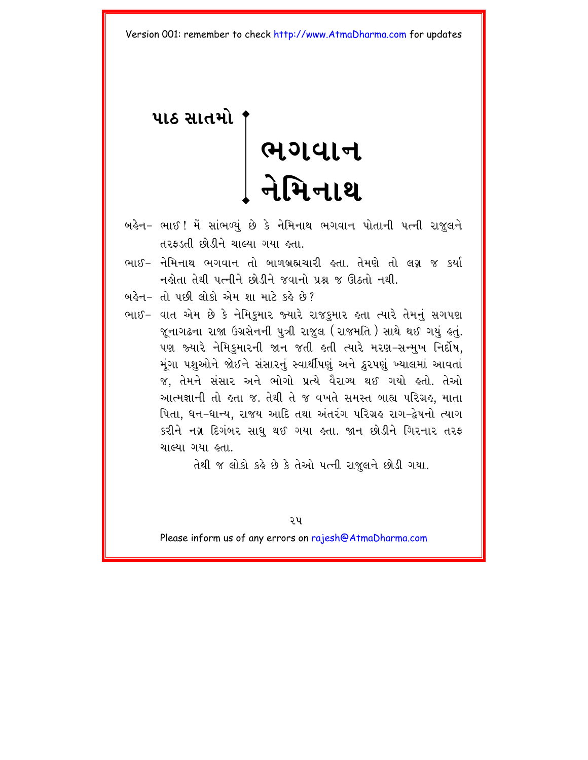### <span id="page-29-0"></span>**415 સાતમો**

# <mark>ભગવાન</mark> <u>નેમિનાથ</u>

- બહેન- ભાઈ ! મેં સાંભળ્યં છે કે નેમિનાથ ભગવાન પોતાની પત્ની રાજલને તરફડતી છોડીને ચાલ્યા ગયા હતા.
- ભાઈ− નેમિનાથ ભગવાન તો બાળબ્રહ્મચારી ઙતા. તેમણે તો લગ્ન જ કર્યા નહોતા તેથી પત્નીને છોડીને જવાનો પ્રશ્ન જ ઊઠતો નથી.
- $b^2$  બહેન– તો પછી લોકો એમ શા માટે કહે છે?
- ભાઈ– વાત એમ છે કે નેમિકમાર જ્યારે રાજકમાર હતા ત્યારે તેમનું સગપણ જનાગઢના રાજા ઉગ્રસેનની પુત્રી રાજુલ (રાજમતિ ) સાથે થઈ ગયું હતું. પણ જ્યારે નેમિકુમારની જાન જતી હતી ત્યારે મરણ-સન્મુખ નિર્દોષ, મંગા પશુઓને જોઈને સંસારનું સ્વાર્થીપણું અને ક્રરપણું ખ્યાલમાં આવતાં જ, તેમને સંસાર અને ભોગો પ્રત્યે વૈરાગ્ય થઈ ગયો હતો. તેઓ આત્મજ્ઞાની તો હતા જ. તેથી તે જ વખતે સમસ્ત બાહ્ય પરિગ્રહ. માતા પિતા. ધન–ધાન્ય. રાજય આદિ તથા અંતરંગ પરિગ્રઙ રાગ–દ્વેષનો ત્યાગ કરીને નગ્ન દિગંબર સાધુ થઈ ગયા હતા. જાન છોડીને ગિરનાર તરફ ચાલ્યા ગયા હતા.

તેથી જ લોકો કહે છે કે તેઓ પત્ની રાજુલને છોડી ગયા.

 $2y$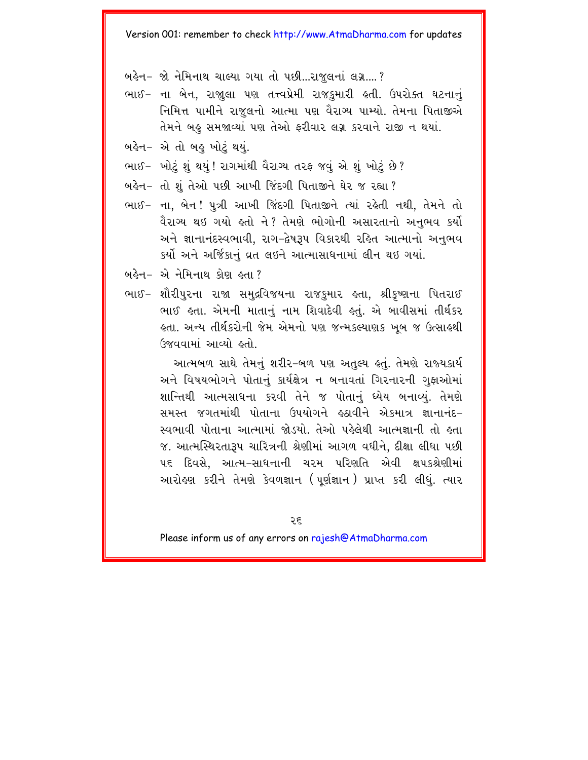બહેન- જો નેમિનાથ ચાલ્યા ગયા તો પછી...રાજલનાં લગ્ન....?

- ભાઈ- ના બેન, રાજાુલા પણ તત્ત્વપ્રેમી રાજકુમારી હતી. ઉપરોક્ત ઘટનાનું નિમિત્ત પામીને રાજલનો આત્મા પણ વૈરાગ્ય પામ્યો. તેમના પિતાજીએ તેમને બહુ સમજાવ્યાં પણ તેઓ ફરીવાર લગ્ન કરવાને રાજી ન થયાં.
- બહેન- એ તો બહુ ખોટું થયું.
- ભાઈ- ખોટ શું થયું ! રાગમાંથી વૈરાગ્ય તરફ જવું એ શું ખોટું છે ?
- બહેન- તો શું તેઓ પછી આખી જિંદગી પિતાજીને ઘેર જ રહ્યા ?
- ભાઈ- ના, બેન! પુત્રી આખી જિંદગી પિતાજીને ત્યાં રહેતી નથી, તેમને તો વૈરાગ્ય થઇ ગયો હતો ને? તેમણે ભોગોની અસારતાનો અનભવ કર્યો અને જ્ઞાનાનંદસ્વભાવી. રાગ-દ્વેષ3૫ વિકારથી રહિત આત્માનો અનુભવ કર્યો અને અર્જિકાનું વ્રત લઇને આત્માસાધનામાં લીન થઇ ગયાં.
- બહેન- એ નેમિનાથ કોણ હતા ?
- ભાઈ- શૌરીપુરના રાજા સમુદ્રવિજયના રાજકુમાર લ્તા, શ્રીકૃષ્ણના પિતરાઈ ભાઈ હતા. એમની માતાનું નામ શિવાદેવી હતું. એ બાવીસમાં તીર્થકર હતા. અન્ય તીર્થકરોની જેમ એમનો પણ જન્મકલ્યાણક ખબ જ ઉત્સાહથી ઉજવવામાં આવ્યો હતો

આત્મબળ સાથે તેમનું શરીર-બળ પણ અતુલ્ય કતું. તેમણે રાજ્યકાર્ય અને વિષયભોગને પોતાનું કાર્યક્ષેત્ર ન બનાવતાં ગિરનારની ગુફાઓમાં શાન્તિથી આત્મસાધના કરવી તેને જ પોતાનું ધ્યેય બનાવ્યું. તેમણે સમસ્ત જગતમાંથી પોતાના ઉપયોગને હઠાવીને એકમાત્ર જ્ઞાનાનંદ-સ્વભાવી પોતાના આત્મામાં જોડયો. તેઓ પહેલેથી આત્મજ્ઞાની તો હતા. જ. આત્મસ્થિરતારૂપ ચારિત્રની શ્રેણીમાં આગળ વધીને. દીક્ષા લીધા પછી ૫૬ દિવસે, આત્મ-સાધનાની ચરમ પરિણતિ એવી ક્ષપકશ્રેણીમાં આરોલ્ણ કરીને તેમણે કેવળજ્ઞાન (પર્ણજ્ઞાન) પ્રાપ્ત કરી લીધં. ત્યાર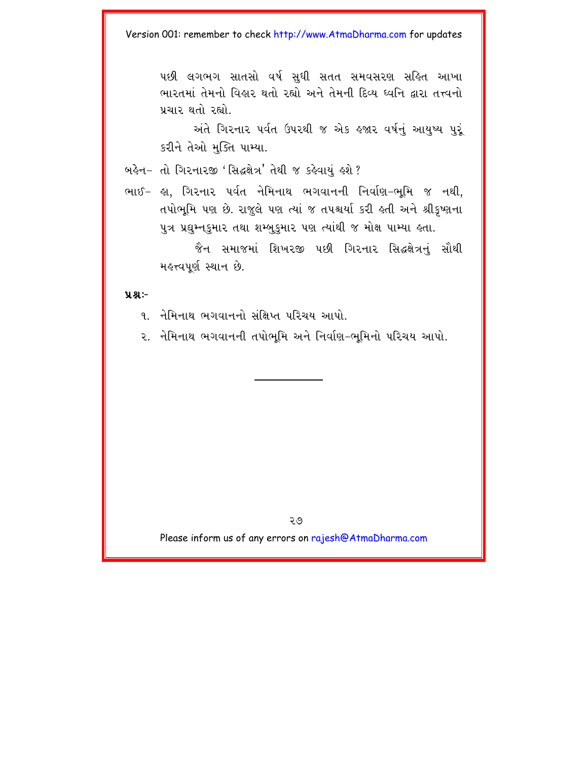પછી લગભગ સાતસો વર્ષ સધી સતત સમવસરણ સહિત આખા ભારતમાં તેમનો વિહાર થતો રહ્યો અને તેમની દિવ્ય ધ્વનિ દ્વારા તત્ત્વનો પચાર થતો રહ્યો

અંતે ગિરનાર પર્વત ઉપરથી જ એક હજાર વર્ષનું આયુષ્ય પુરૃં કરીને તેઓ મુક્તિ પામ્યા.

બહેન- તો ગિરનારજી 'સિદ્ધક્ષેત્ર' તેથી જ કહેવાયં હશે ?

તપોભુમિ પણ છે. રાજુલે પણ ત્યાં જ તપશ્ચર્યા કરી હતી અને શ્રીકૃષ્ણના પુત્ર પ્રદ્યુમ્નકુમાર તથા શમ્બુકુમાર પણ ત્યાંથી જ મોક્ષ પામ્યા હતા.

જૈન સમાજમાં શિખરજી પછી ગિરનાર સિદ્ધક્ષેત્રનું સૌથી મહત્ત્વપૂર્ણ સ્થાન છે.

 $9.8 -$ 

- १ नेमिनाथ ભગવાનનો સંક્ષિપ્ત પરિચય આપો
- ૨. નેમિનાથ ભગવાનની તપોભુમિ અને નિર્વાણ-ભુમિનો પરિચય આપો.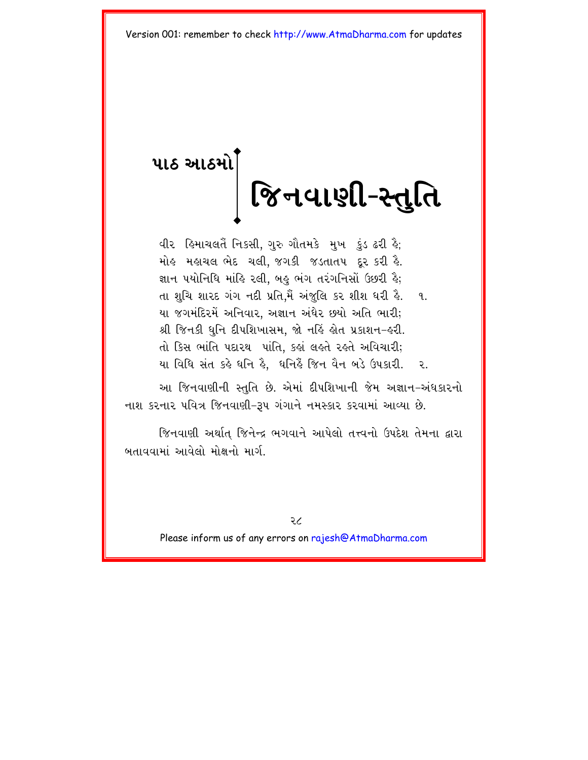# <span id="page-32-0"></span>પાઠ આઠમો∫

# જિનવાણી-સ્તુતિ

વીર હિમાચલતૈં નિકસી, ગુરુ ગૌતમકે મુખ કુંડ ઢરી હૈ; મોહ મહાચલ ભેદ ચલી, જગકી જડતાતપ દૂર કરી હૈ. જ્ઞાન પયોનિધિ માંહિ રલી, બહુ ભંગ તરંગનિસોં ઉછરી હૈ; તા શુચિ શારદ ગંગ નદી પ્રતિ,મૈં અંજુલિ કર શીશ ધરી હૈ. ૧. યા જગમંદિરમેં અનિવાર, અજ્ઞાન અંધેર છયો અતિ ભારી; શ્રી જિનકી ધુનિ દીપશિખાસમ, જો નહિં હોત પ્રકાશન-હરી. તો કિસ ભાંતિ પદારથ, પાંતિ, કહાં લહતે રહતે અવિચારી: યા વિધિ સંત કહે ધનિ હૈ, ધનિર્હૈ જિન વૈન બડે ઉપકારી. ૨.

આ જિનવાણીની સ્તુતિ છે. એમાં દીપશિખાની જેમ અજ્ઞાન–અંધકારનો નાશ કરનાર પવિત્ર જિનવાણી–રૂપ ગંગાને નમસ્કાર કરવામાં આવ્યા છે.

જિનવાણી અર્થાત્ જિનેન્દ્ર ભગવાને આપેલો તત્ત્વનો ઉપદેશ તેમના દ્વારા બતાવવામાં આવેલો મોક્ષનો માર્ગ